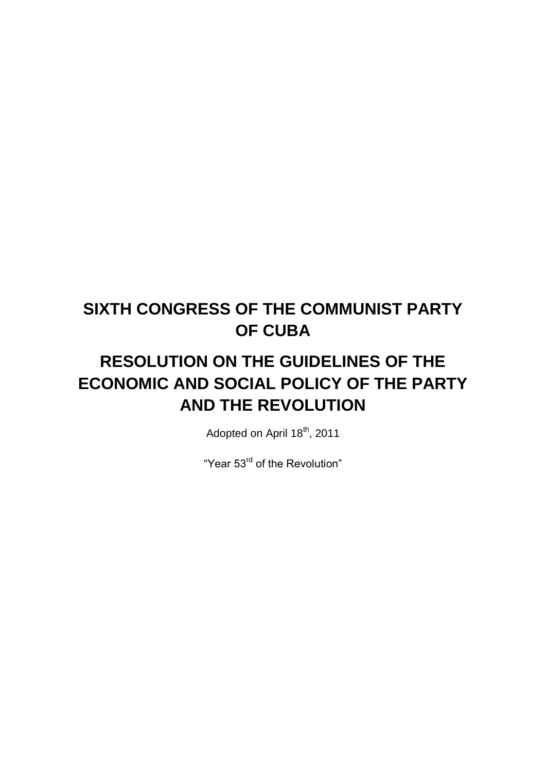# **SIXTH CONGRESS OF THE COMMUNIST PARTY OF CUBA**

# **RESOLUTION ON THE GUIDELINES OF THE ECONOMIC AND SOCIAL POLICY OF THE PARTY AND THE REVOLUTION**

Adopted on April 18<sup>th</sup>, 2011

"Year 53<sup>rd</sup> of the Revolution"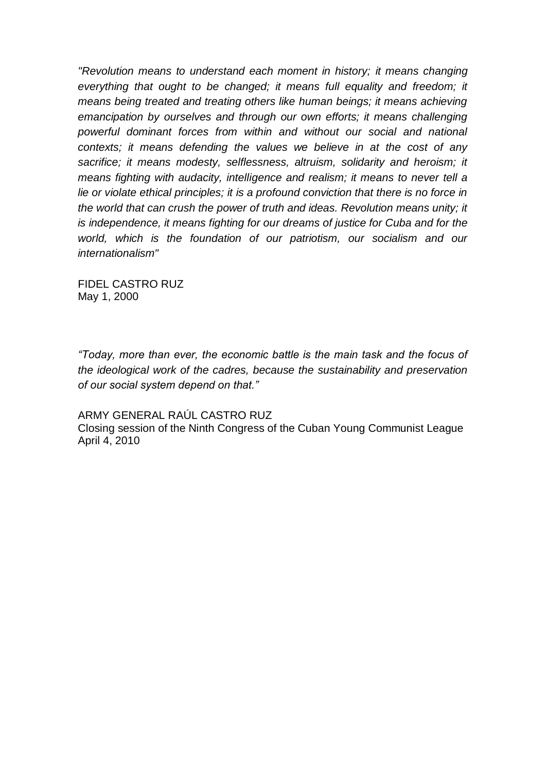*"Revolution means to understand each moment in history; it means changing everything that ought to be changed; it means full equality and freedom; it means being treated and treating others like human beings; it means achieving emancipation by ourselves and through our own efforts; it means challenging powerful dominant forces from within and without our social and national contexts; it means defending the values we believe in at the cost of any sacrifice; it means modesty, selflessness, altruism, solidarity and heroism; it means fighting with audacity, intelligence and realism; it means to never tell a lie or violate ethical principles; it is a profound conviction that there is no force in the world that can crush the power of truth and ideas. Revolution means unity; it is independence, it means fighting for our dreams of justice for Cuba and for the world, which is the foundation of our patriotism, our socialism and our internationalism"*

FIDEL CASTRO RUZ May 1, 2000

*"Today, more than ever, the economic battle is the main task and the focus of the ideological work of the cadres, because the sustainability and preservation of our social system depend on that."*

ARMY GENERAL RAÚL CASTRO RUZ

Closing session of the Ninth Congress of the Cuban Young Communist League April 4, 2010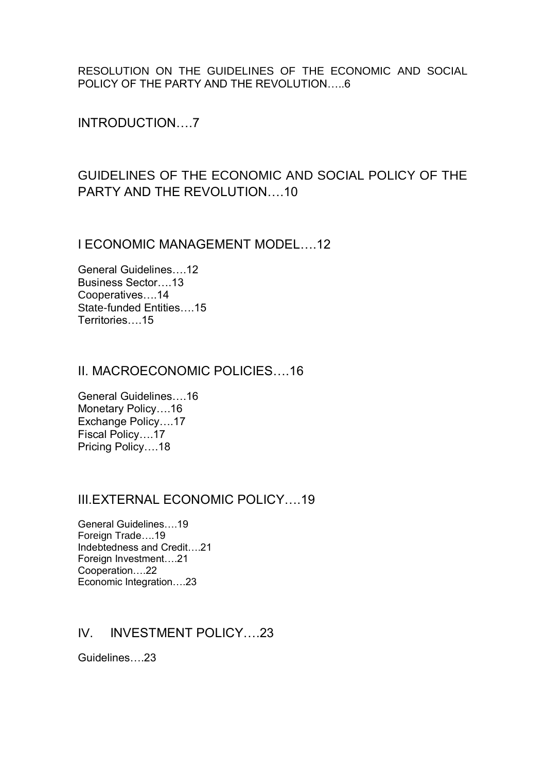RESOLUTION ON THE GUIDELINES OF THE ECONOMIC AND SOCIAL POLICY OF THE PARTY AND THE REVOLUTION…..6

INTRODUCTION….7

# GUIDELINES OF THE ECONOMIC AND SOCIAL POLICY OF THE PARTY AND THE REVOLUTION….10

I ECONOMIC MANAGEMENT MODEL….12

General Guidelines….12 Business Sector….13 Cooperatives….14 State-funded Entities….15 Territories 15

# II. MACROECONOMIC POLICIES….16

General Guidelines….16 Monetary Policy….16 Exchange Policy….17 Fiscal Policy….17 Pricing Policy….18

# III.EXTERNAL ECONOMIC POLICY….19

General Guidelines….19 Foreign Trade….19 Indebtedness and Credit….21 Foreign Investment….21 Cooperation….22 Economic Integration….23

# IV. INVESTMENT POLICY….23

Guidelines….23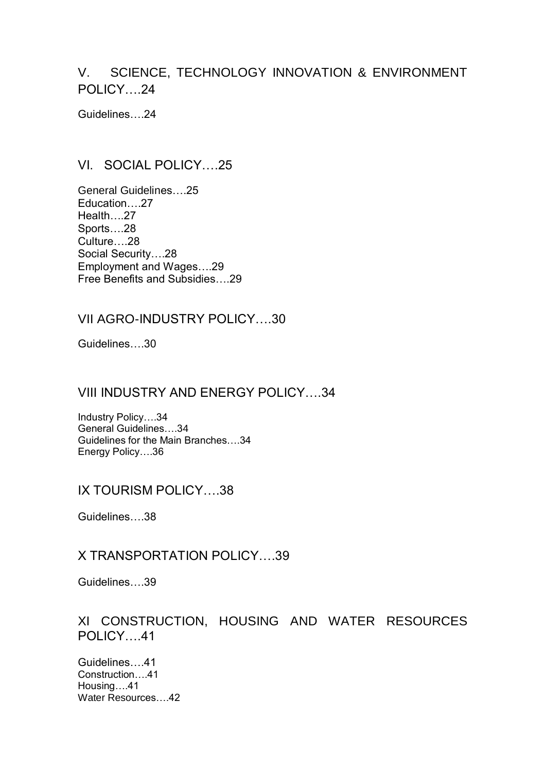# V. SCIENCE, TECHNOLOGY INNOVATION & ENVIRONMENT POLICY….24

Guidelines….24

# VI. SOCIAL POLICY….25

General Guidelines….25 Education….27 Health….27 Sports….28 Culture….28 Social Security….28 Employment and Wages….29 Free Benefits and Subsidies….29

# VII AGRO-INDUSTRY POLICY….30

Guidelines….30

# VIII INDUSTRY AND ENERGY POLICY….34

Industry Policy….34 General Guidelines….34 Guidelines for the Main Branches….34 Energy Policy….36

# IX TOURISM POLICY….38

Guidelines….38

# X TRANSPORTATION POLICY….39

Guidelines….39

# XI CONSTRUCTION, HOUSING AND WATER RESOURCES POLICY….41

Guidelines….41 Construction….41 Housing….41 Water Resources….42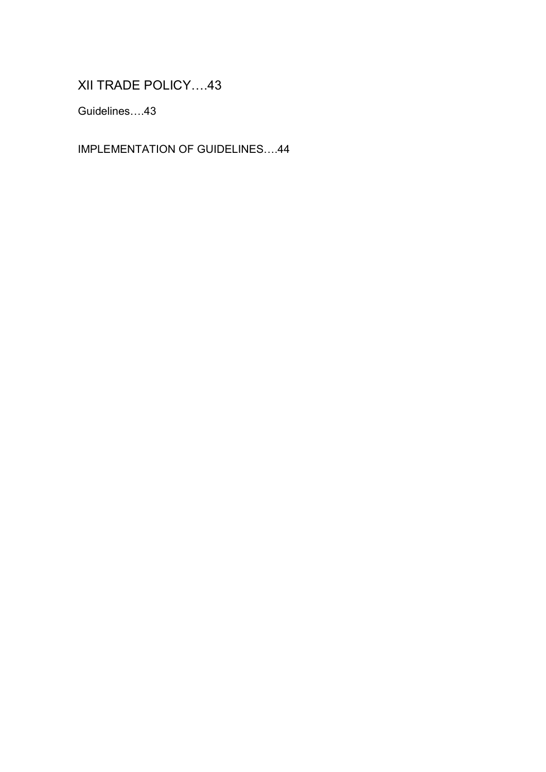XII TRADE POLICY….43

Guidelines….43

IMPLEMENTATION OF GUIDELINES….44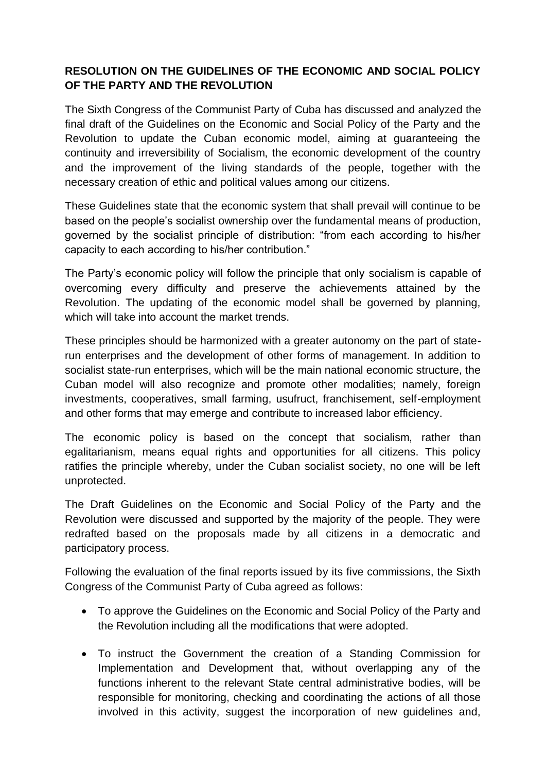# **RESOLUTION ON THE GUIDELINES OF THE ECONOMIC AND SOCIAL POLICY OF THE PARTY AND THE REVOLUTION**

The Sixth Congress of the Communist Party of Cuba has discussed and analyzed the final draft of the Guidelines on the Economic and Social Policy of the Party and the Revolution to update the Cuban economic model, aiming at guaranteeing the continuity and irreversibility of Socialism, the economic development of the country and the improvement of the living standards of the people, together with the necessary creation of ethic and political values among our citizens.

These Guidelines state that the economic system that shall prevail will continue to be based on the people's socialist ownership over the fundamental means of production, governed by the socialist principle of distribution: "from each according to his/her capacity to each according to his/her contribution."

The Party's economic policy will follow the principle that only socialism is capable of overcoming every difficulty and preserve the achievements attained by the Revolution. The updating of the economic model shall be governed by planning, which will take into account the market trends.

These principles should be harmonized with a greater autonomy on the part of staterun enterprises and the development of other forms of management. In addition to socialist state-run enterprises, which will be the main national economic structure, the Cuban model will also recognize and promote other modalities; namely, foreign investments, cooperatives, small farming, usufruct, franchisement, self-employment and other forms that may emerge and contribute to increased labor efficiency.

The economic policy is based on the concept that socialism, rather than egalitarianism, means equal rights and opportunities for all citizens. This policy ratifies the principle whereby, under the Cuban socialist society, no one will be left unprotected.

The Draft Guidelines on the Economic and Social Policy of the Party and the Revolution were discussed and supported by the majority of the people. They were redrafted based on the proposals made by all citizens in a democratic and participatory process.

Following the evaluation of the final reports issued by its five commissions, the Sixth Congress of the Communist Party of Cuba agreed as follows:

- To approve the Guidelines on the Economic and Social Policy of the Party and the Revolution including all the modifications that were adopted.
- To instruct the Government the creation of a Standing Commission for Implementation and Development that, without overlapping any of the functions inherent to the relevant State central administrative bodies, will be responsible for monitoring, checking and coordinating the actions of all those involved in this activity, suggest the incorporation of new guidelines and,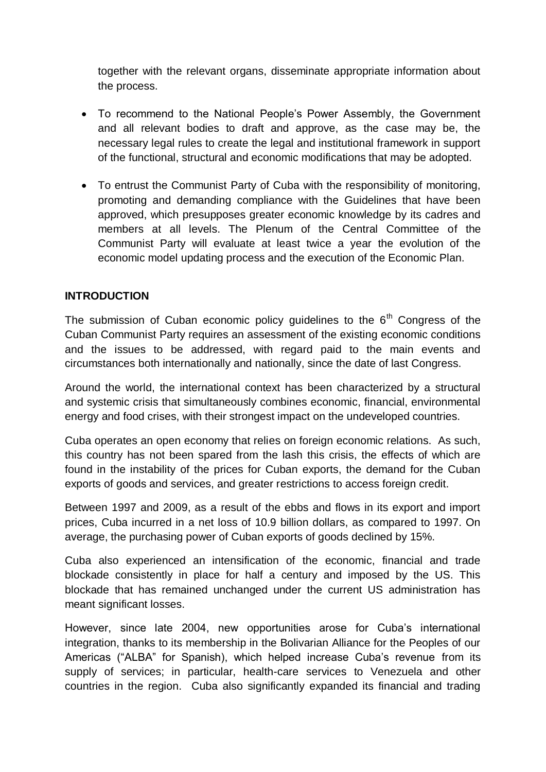together with the relevant organs, disseminate appropriate information about the process.

- To recommend to the National People's Power Assembly, the Government and all relevant bodies to draft and approve, as the case may be, the necessary legal rules to create the legal and institutional framework in support of the functional, structural and economic modifications that may be adopted.
- To entrust the Communist Party of Cuba with the responsibility of monitoring, promoting and demanding compliance with the Guidelines that have been approved, which presupposes greater economic knowledge by its cadres and members at all levels. The Plenum of the Central Committee of the Communist Party will evaluate at least twice a year the evolution of the economic model updating process and the execution of the Economic Plan.

# **INTRODUCTION**

The submission of Cuban economic policy quidelines to the  $6<sup>th</sup>$  Congress of the Cuban Communist Party requires an assessment of the existing economic conditions and the issues to be addressed, with regard paid to the main events and circumstances both internationally and nationally, since the date of last Congress.

Around the world, the international context has been characterized by a structural and systemic crisis that simultaneously combines economic, financial, environmental energy and food crises, with their strongest impact on the undeveloped countries.

Cuba operates an open economy that relies on foreign economic relations. As such, this country has not been spared from the lash this crisis, the effects of which are found in the instability of the prices for Cuban exports, the demand for the Cuban exports of goods and services, and greater restrictions to access foreign credit.

Between 1997 and 2009, as a result of the ebbs and flows in its export and import prices, Cuba incurred in a net loss of 10.9 billion dollars, as compared to 1997. On average, the purchasing power of Cuban exports of goods declined by 15%.

Cuba also experienced an intensification of the economic, financial and trade blockade consistently in place for half a century and imposed by the US. This blockade that has remained unchanged under the current US administration has meant significant losses.

However, since late 2004, new opportunities arose for Cuba's international integration, thanks to its membership in the Bolivarian Alliance for the Peoples of our Americas ("ALBA" for Spanish), which helped increase Cuba's revenue from its supply of services; in particular, health-care services to Venezuela and other countries in the region. Cuba also significantly expanded its financial and trading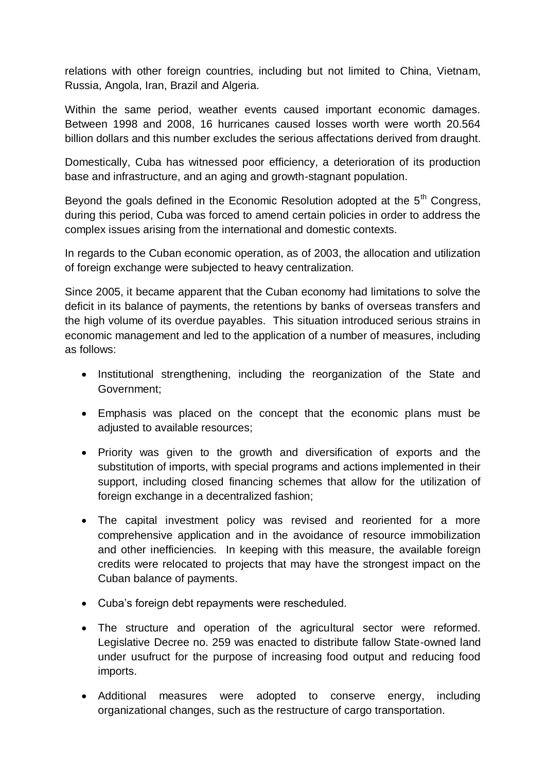relations with other foreign countries, including but not limited to China, Vietnam, Russia, Angola, Iran, Brazil and Algeria.

Within the same period, weather events caused important economic damages. Between 1998 and 2008, 16 hurricanes caused losses worth were worth 20.564 billion dollars and this number excludes the serious affectations derived from draught.

Domestically, Cuba has witnessed poor efficiency, a deterioration of its production base and infrastructure, and an aging and growth-stagnant population.

Beyond the goals defined in the Economic Resolution adopted at the  $5<sup>th</sup>$  Congress. during this period, Cuba was forced to amend certain policies in order to address the complex issues arising from the international and domestic contexts.

In regards to the Cuban economic operation, as of 2003, the allocation and utilization of foreign exchange were subjected to heavy centralization.

Since 2005, it became apparent that the Cuban economy had limitations to solve the deficit in its balance of payments, the retentions by banks of overseas transfers and the high volume of its overdue payables. This situation introduced serious strains in economic management and led to the application of a number of measures, including as follows:

- Institutional strengthening, including the reorganization of the State and Government;
- Emphasis was placed on the concept that the economic plans must be adjusted to available resources;
- Priority was given to the growth and diversification of exports and the substitution of imports, with special programs and actions implemented in their support, including closed financing schemes that allow for the utilization of foreign exchange in a decentralized fashion;
- The capital investment policy was revised and reoriented for a more comprehensive application and in the avoidance of resource immobilization and other inefficiencies. In keeping with this measure, the available foreign credits were relocated to projects that may have the strongest impact on the Cuban balance of payments.
- Cuba's foreign debt repayments were rescheduled.
- The structure and operation of the agricultural sector were reformed. Legislative Decree no. 259 was enacted to distribute fallow State-owned land under usufruct for the purpose of increasing food output and reducing food imports.
- Additional measures were adopted to conserve energy, including organizational changes, such as the restructure of cargo transportation.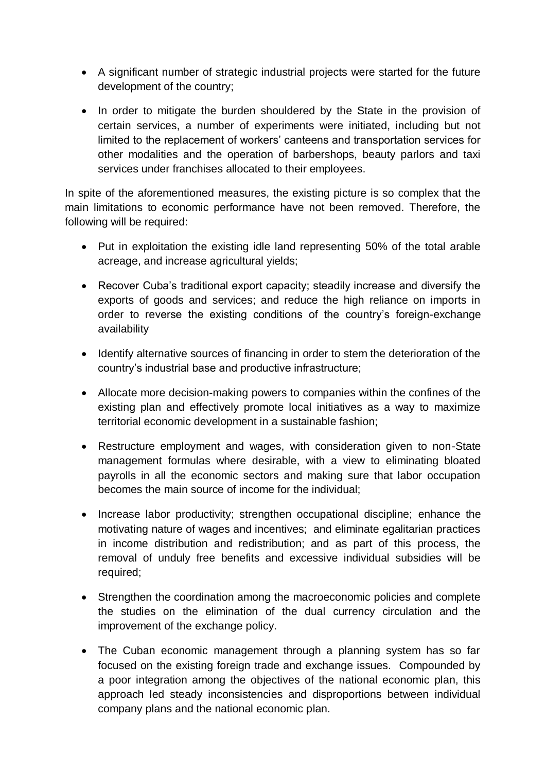- A significant number of strategic industrial projects were started for the future development of the country;
- In order to mitigate the burden shouldered by the State in the provision of certain services, a number of experiments were initiated, including but not limited to the replacement of workers' canteens and transportation services for other modalities and the operation of barbershops, beauty parlors and taxi services under franchises allocated to their employees.

In spite of the aforementioned measures, the existing picture is so complex that the main limitations to economic performance have not been removed. Therefore, the following will be required:

- Put in exploitation the existing idle land representing 50% of the total arable acreage, and increase agricultural yields;
- Recover Cuba's traditional export capacity; steadily increase and diversify the exports of goods and services; and reduce the high reliance on imports in order to reverse the existing conditions of the country's foreign-exchange availability
- Identify alternative sources of financing in order to stem the deterioration of the country's industrial base and productive infrastructure;
- Allocate more decision-making powers to companies within the confines of the existing plan and effectively promote local initiatives as a way to maximize territorial economic development in a sustainable fashion;
- Restructure employment and wages, with consideration given to non-State management formulas where desirable, with a view to eliminating bloated payrolls in all the economic sectors and making sure that labor occupation becomes the main source of income for the individual;
- Increase labor productivity; strengthen occupational discipline; enhance the motivating nature of wages and incentives; and eliminate egalitarian practices in income distribution and redistribution; and as part of this process, the removal of unduly free benefits and excessive individual subsidies will be required;
- Strengthen the coordination among the macroeconomic policies and complete the studies on the elimination of the dual currency circulation and the improvement of the exchange policy.
- The Cuban economic management through a planning system has so far focused on the existing foreign trade and exchange issues. Compounded by a poor integration among the objectives of the national economic plan, this approach led steady inconsistencies and disproportions between individual company plans and the national economic plan.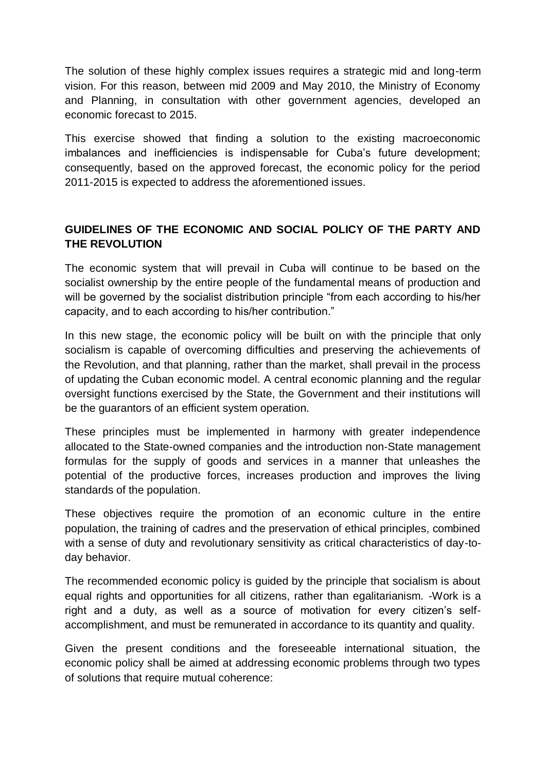The solution of these highly complex issues requires a strategic mid and long-term vision. For this reason, between mid 2009 and May 2010, the Ministry of Economy and Planning, in consultation with other government agencies, developed an economic forecast to 2015.

This exercise showed that finding a solution to the existing macroeconomic imbalances and inefficiencies is indispensable for Cuba's future development; consequently, based on the approved forecast, the economic policy for the period 2011-2015 is expected to address the aforementioned issues.

# **GUIDELINES OF THE ECONOMIC AND SOCIAL POLICY OF THE PARTY AND THE REVOLUTION**

The economic system that will prevail in Cuba will continue to be based on the socialist ownership by the entire people of the fundamental means of production and will be governed by the socialist distribution principle "from each according to his/her capacity, and to each according to his/her contribution."

In this new stage, the economic policy will be built on with the principle that only socialism is capable of overcoming difficulties and preserving the achievements of the Revolution, and that planning, rather than the market, shall prevail in the process of updating the Cuban economic model. A central economic planning and the regular oversight functions exercised by the State, the Government and their institutions will be the guarantors of an efficient system operation.

These principles must be implemented in harmony with greater independence allocated to the State-owned companies and the introduction non-State management formulas for the supply of goods and services in a manner that unleashes the potential of the productive forces, increases production and improves the living standards of the population.

These objectives require the promotion of an economic culture in the entire population, the training of cadres and the preservation of ethical principles, combined with a sense of duty and revolutionary sensitivity as critical characteristics of day-today behavior.

The recommended economic policy is guided by the principle that socialism is about equal rights and opportunities for all citizens, rather than egalitarianism. -Work is a right and a duty, as well as a source of motivation for every citizen's selfaccomplishment, and must be remunerated in accordance to its quantity and quality.

Given the present conditions and the foreseeable international situation, the economic policy shall be aimed at addressing economic problems through two types of solutions that require mutual coherence: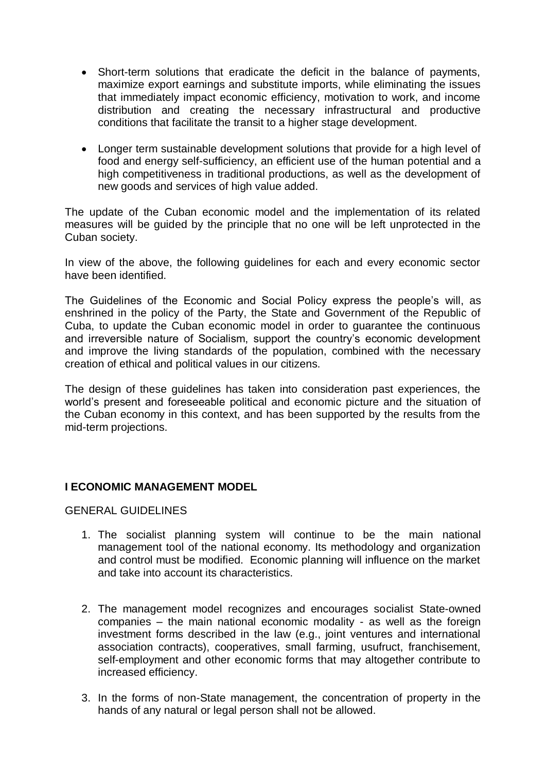- Short-term solutions that eradicate the deficit in the balance of payments, maximize export earnings and substitute imports, while eliminating the issues that immediately impact economic efficiency, motivation to work, and income distribution and creating the necessary infrastructural and productive conditions that facilitate the transit to a higher stage development.
- Longer term sustainable development solutions that provide for a high level of food and energy self-sufficiency, an efficient use of the human potential and a high competitiveness in traditional productions, as well as the development of new goods and services of high value added.

The update of the Cuban economic model and the implementation of its related measures will be guided by the principle that no one will be left unprotected in the Cuban society.

In view of the above, the following guidelines for each and every economic sector have been identified.

The Guidelines of the Economic and Social Policy express the people's will, as enshrined in the policy of the Party, the State and Government of the Republic of Cuba, to update the Cuban economic model in order to guarantee the continuous and irreversible nature of Socialism, support the country's economic development and improve the living standards of the population, combined with the necessary creation of ethical and political values in our citizens.

The design of these guidelines has taken into consideration past experiences, the world's present and foreseeable political and economic picture and the situation of the Cuban economy in this context, and has been supported by the results from the mid-term projections.

# **I ECONOMIC MANAGEMENT MODEL**

GENERAL GUIDELINES

- 1. The socialist planning system will continue to be the main national management tool of the national economy. Its methodology and organization and control must be modified. Economic planning will influence on the market and take into account its characteristics.
- 2. The management model recognizes and encourages socialist State-owned companies – the main national economic modality - as well as the foreign investment forms described in the law (e.g., joint ventures and international association contracts), cooperatives, small farming, usufruct, franchisement, self-employment and other economic forms that may altogether contribute to increased efficiency.
- 3. In the forms of non-State management, the concentration of property in the hands of any natural or legal person shall not be allowed.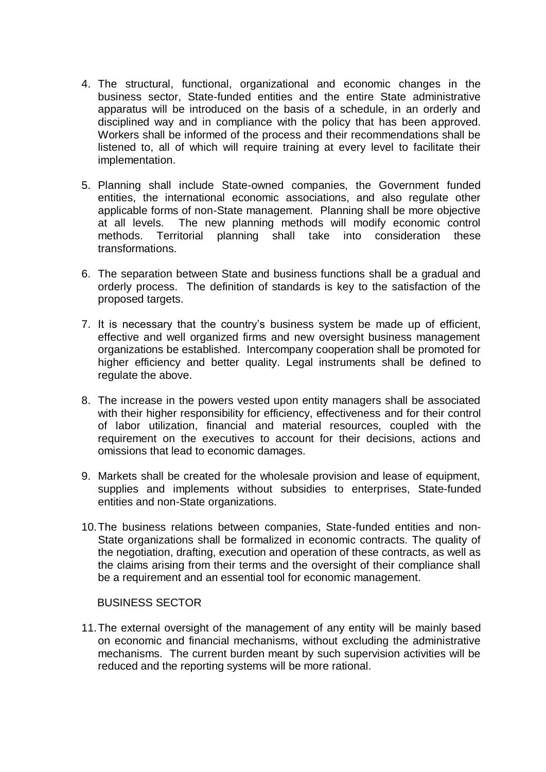- 4. The structural, functional, organizational and economic changes in the business sector, State-funded entities and the entire State administrative apparatus will be introduced on the basis of a schedule, in an orderly and disciplined way and in compliance with the policy that has been approved. Workers shall be informed of the process and their recommendations shall be listened to, all of which will require training at every level to facilitate their implementation.
- 5. Planning shall include State-owned companies, the Government funded entities, the international economic associations, and also regulate other applicable forms of non-State management. Planning shall be more objective at all levels. The new planning methods will modify economic control methods. Territorial planning shall take into consideration these transformations.
- 6. The separation between State and business functions shall be a gradual and orderly process. The definition of standards is key to the satisfaction of the proposed targets.
- 7. It is necessary that the country's business system be made up of efficient, effective and well organized firms and new oversight business management organizations be established. Intercompany cooperation shall be promoted for higher efficiency and better quality. Legal instruments shall be defined to regulate the above.
- 8. The increase in the powers vested upon entity managers shall be associated with their higher responsibility for efficiency, effectiveness and for their control of labor utilization, financial and material resources, coupled with the requirement on the executives to account for their decisions, actions and omissions that lead to economic damages.
- 9. Markets shall be created for the wholesale provision and lease of equipment, supplies and implements without subsidies to enterprises, State-funded entities and non-State organizations.
- 10.The business relations between companies, State-funded entities and non-State organizations shall be formalized in economic contracts. The quality of the negotiation, drafting, execution and operation of these contracts, as well as the claims arising from their terms and the oversight of their compliance shall be a requirement and an essential tool for economic management.

# BUSINESS SECTOR

11.The external oversight of the management of any entity will be mainly based on economic and financial mechanisms, without excluding the administrative mechanisms. The current burden meant by such supervision activities will be reduced and the reporting systems will be more rational.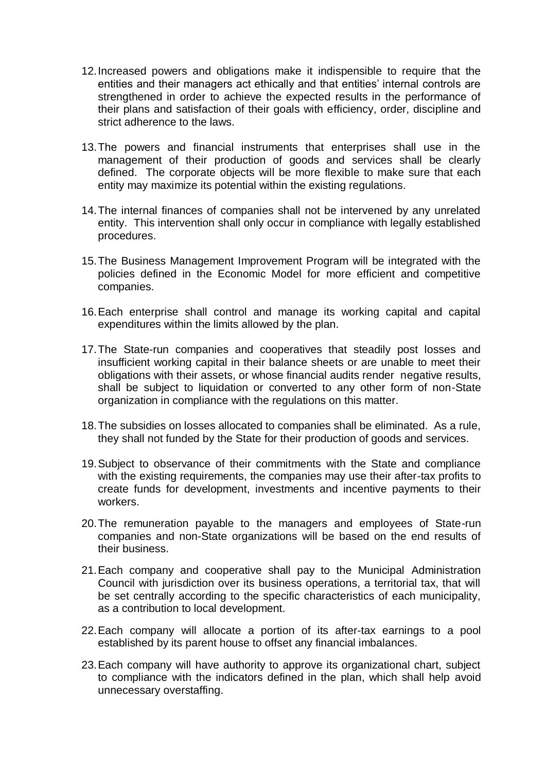- 12.Increased powers and obligations make it indispensible to require that the entities and their managers act ethically and that entities' internal controls are strengthened in order to achieve the expected results in the performance of their plans and satisfaction of their goals with efficiency, order, discipline and strict adherence to the laws.
- 13.The powers and financial instruments that enterprises shall use in the management of their production of goods and services shall be clearly defined. The corporate objects will be more flexible to make sure that each entity may maximize its potential within the existing regulations.
- 14.The internal finances of companies shall not be intervened by any unrelated entity. This intervention shall only occur in compliance with legally established procedures.
- 15.The Business Management Improvement Program will be integrated with the policies defined in the Economic Model for more efficient and competitive companies.
- 16.Each enterprise shall control and manage its working capital and capital expenditures within the limits allowed by the plan.
- 17.The State-run companies and cooperatives that steadily post losses and insufficient working capital in their balance sheets or are unable to meet their obligations with their assets, or whose financial audits render negative results, shall be subject to liquidation or converted to any other form of non-State organization in compliance with the regulations on this matter.
- 18.The subsidies on losses allocated to companies shall be eliminated. As a rule, they shall not funded by the State for their production of goods and services.
- 19.Subject to observance of their commitments with the State and compliance with the existing requirements, the companies may use their after-tax profits to create funds for development, investments and incentive payments to their workers.
- 20.The remuneration payable to the managers and employees of State-run companies and non-State organizations will be based on the end results of their business.
- 21.Each company and cooperative shall pay to the Municipal Administration Council with jurisdiction over its business operations, a territorial tax, that will be set centrally according to the specific characteristics of each municipality, as a contribution to local development.
- 22.Each company will allocate a portion of its after-tax earnings to a pool established by its parent house to offset any financial imbalances.
- 23.Each company will have authority to approve its organizational chart, subject to compliance with the indicators defined in the plan, which shall help avoid unnecessary overstaffing.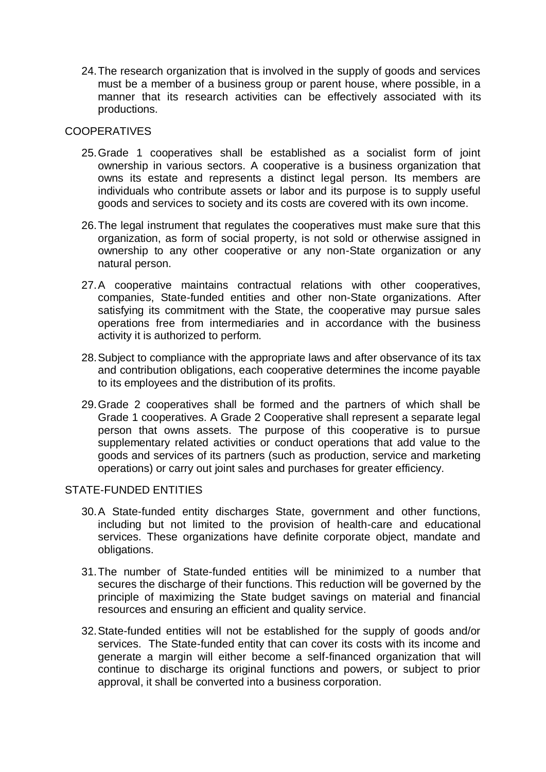24.The research organization that is involved in the supply of goods and services must be a member of a business group or parent house, where possible, in a manner that its research activities can be effectively associated with its productions.

# **COOPERATIVES**

- 25.Grade 1 cooperatives shall be established as a socialist form of joint ownership in various sectors. A cooperative is a business organization that owns its estate and represents a distinct legal person. Its members are individuals who contribute assets or labor and its purpose is to supply useful goods and services to society and its costs are covered with its own income.
- 26.The legal instrument that regulates the cooperatives must make sure that this organization, as form of social property, is not sold or otherwise assigned in ownership to any other cooperative or any non-State organization or any natural person.
- 27.A cooperative maintains contractual relations with other cooperatives, companies, State-funded entities and other non-State organizations. After satisfying its commitment with the State, the cooperative may pursue sales operations free from intermediaries and in accordance with the business activity it is authorized to perform.
- 28.Subject to compliance with the appropriate laws and after observance of its tax and contribution obligations, each cooperative determines the income payable to its employees and the distribution of its profits.
- 29.Grade 2 cooperatives shall be formed and the partners of which shall be Grade 1 cooperatives. A Grade 2 Cooperative shall represent a separate legal person that owns assets. The purpose of this cooperative is to pursue supplementary related activities or conduct operations that add value to the goods and services of its partners (such as production, service and marketing operations) or carry out joint sales and purchases for greater efficiency.

# STATE-FUNDED ENTITIES

- 30.A State-funded entity discharges State, government and other functions, including but not limited to the provision of health-care and educational services. These organizations have definite corporate object, mandate and obligations.
- 31.The number of State-funded entities will be minimized to a number that secures the discharge of their functions. This reduction will be governed by the principle of maximizing the State budget savings on material and financial resources and ensuring an efficient and quality service.
- 32.State-funded entities will not be established for the supply of goods and/or services. The State-funded entity that can cover its costs with its income and generate a margin will either become a self-financed organization that will continue to discharge its original functions and powers, or subject to prior approval, it shall be converted into a business corporation.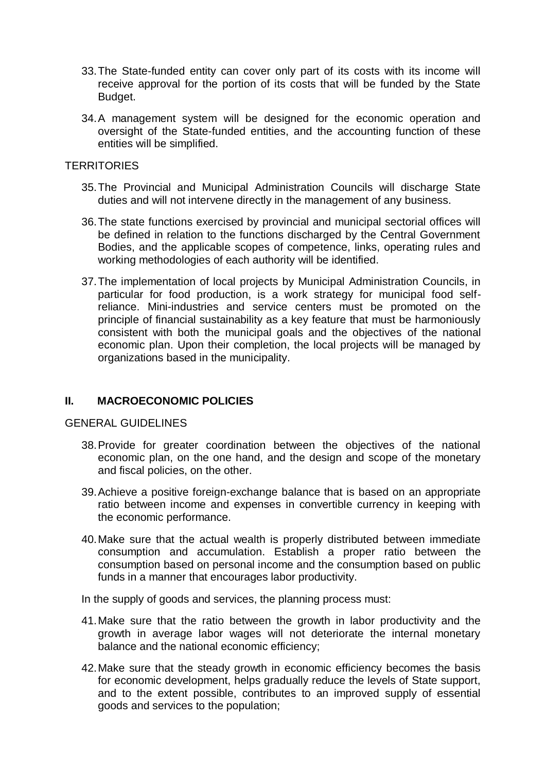- 33.The State-funded entity can cover only part of its costs with its income will receive approval for the portion of its costs that will be funded by the State Budget.
- 34.A management system will be designed for the economic operation and oversight of the State-funded entities, and the accounting function of these entities will be simplified.

#### **TERRITORIES**

- 35.The Provincial and Municipal Administration Councils will discharge State duties and will not intervene directly in the management of any business.
- 36.The state functions exercised by provincial and municipal sectorial offices will be defined in relation to the functions discharged by the Central Government Bodies, and the applicable scopes of competence, links, operating rules and working methodologies of each authority will be identified.
- 37.The implementation of local projects by Municipal Administration Councils, in particular for food production, is a work strategy for municipal food selfreliance. Mini-industries and service centers must be promoted on the principle of financial sustainability as a key feature that must be harmoniously consistent with both the municipal goals and the objectives of the national economic plan. Upon their completion, the local projects will be managed by organizations based in the municipality.

# **II. MACROECONOMIC POLICIES**

# GENERAL GUIDELINES

- 38.Provide for greater coordination between the objectives of the national economic plan, on the one hand, and the design and scope of the monetary and fiscal policies, on the other.
- 39.Achieve a positive foreign-exchange balance that is based on an appropriate ratio between income and expenses in convertible currency in keeping with the economic performance.
- 40.Make sure that the actual wealth is properly distributed between immediate consumption and accumulation. Establish a proper ratio between the consumption based on personal income and the consumption based on public funds in a manner that encourages labor productivity.

In the supply of goods and services, the planning process must:

- 41.Make sure that the ratio between the growth in labor productivity and the growth in average labor wages will not deteriorate the internal monetary balance and the national economic efficiency;
- 42.Make sure that the steady growth in economic efficiency becomes the basis for economic development, helps gradually reduce the levels of State support, and to the extent possible, contributes to an improved supply of essential goods and services to the population;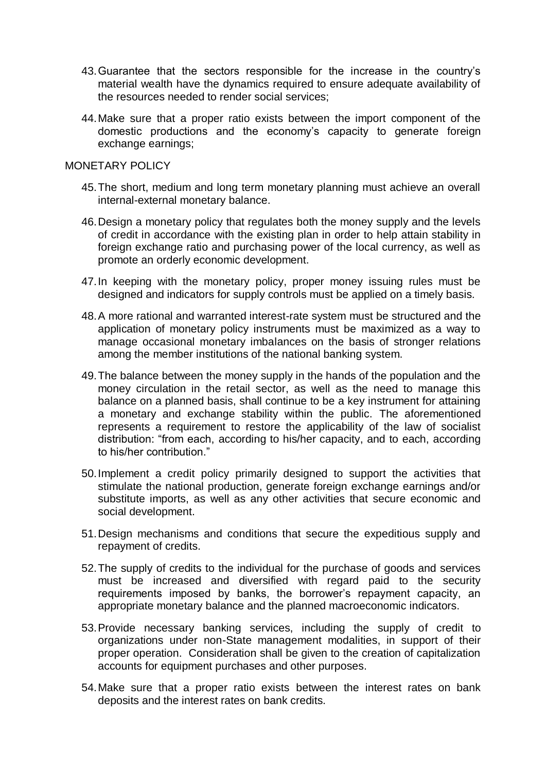- 43.Guarantee that the sectors responsible for the increase in the country's material wealth have the dynamics required to ensure adequate availability of the resources needed to render social services;
- 44.Make sure that a proper ratio exists between the import component of the domestic productions and the economy's capacity to generate foreign exchange earnings;

#### MONETARY POLICY

- 45.The short, medium and long term monetary planning must achieve an overall internal-external monetary balance.
- 46.Design a monetary policy that regulates both the money supply and the levels of credit in accordance with the existing plan in order to help attain stability in foreign exchange ratio and purchasing power of the local currency, as well as promote an orderly economic development.
- 47.In keeping with the monetary policy, proper money issuing rules must be designed and indicators for supply controls must be applied on a timely basis.
- 48.A more rational and warranted interest-rate system must be structured and the application of monetary policy instruments must be maximized as a way to manage occasional monetary imbalances on the basis of stronger relations among the member institutions of the national banking system.
- 49.The balance between the money supply in the hands of the population and the money circulation in the retail sector, as well as the need to manage this balance on a planned basis, shall continue to be a key instrument for attaining a monetary and exchange stability within the public. The aforementioned represents a requirement to restore the applicability of the law of socialist distribution: "from each, according to his/her capacity, and to each, according to his/her contribution."
- 50.Implement a credit policy primarily designed to support the activities that stimulate the national production, generate foreign exchange earnings and/or substitute imports, as well as any other activities that secure economic and social development.
- 51.Design mechanisms and conditions that secure the expeditious supply and repayment of credits.
- 52.The supply of credits to the individual for the purchase of goods and services must be increased and diversified with regard paid to the security requirements imposed by banks, the borrower's repayment capacity, an appropriate monetary balance and the planned macroeconomic indicators.
- 53.Provide necessary banking services, including the supply of credit to organizations under non-State management modalities, in support of their proper operation. Consideration shall be given to the creation of capitalization accounts for equipment purchases and other purposes.
- 54.Make sure that a proper ratio exists between the interest rates on bank deposits and the interest rates on bank credits.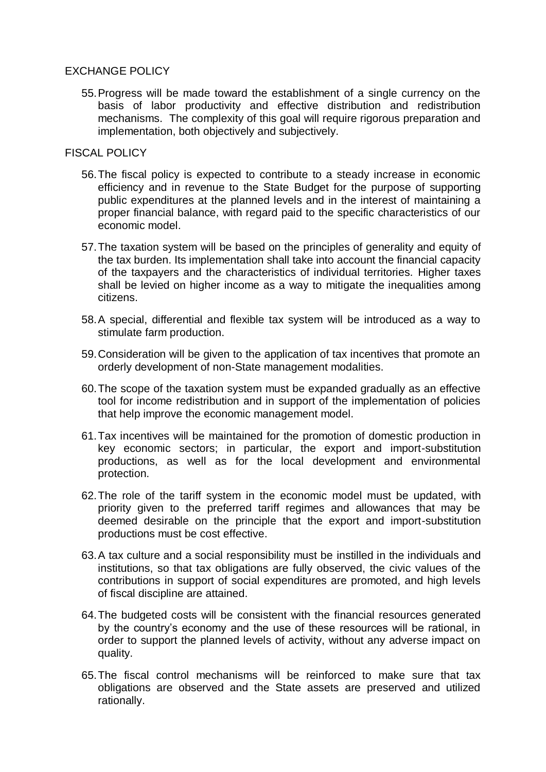# EXCHANGE POLICY

55.Progress will be made toward the establishment of a single currency on the basis of labor productivity and effective distribution and redistribution mechanisms. The complexity of this goal will require rigorous preparation and implementation, both objectively and subjectively.

# FISCAL POLICY

- 56.The fiscal policy is expected to contribute to a steady increase in economic efficiency and in revenue to the State Budget for the purpose of supporting public expenditures at the planned levels and in the interest of maintaining a proper financial balance, with regard paid to the specific characteristics of our economic model.
- 57.The taxation system will be based on the principles of generality and equity of the tax burden. Its implementation shall take into account the financial capacity of the taxpayers and the characteristics of individual territories. Higher taxes shall be levied on higher income as a way to mitigate the inequalities among citizens.
- 58.A special, differential and flexible tax system will be introduced as a way to stimulate farm production.
- 59.Consideration will be given to the application of tax incentives that promote an orderly development of non-State management modalities.
- 60.The scope of the taxation system must be expanded gradually as an effective tool for income redistribution and in support of the implementation of policies that help improve the economic management model.
- 61.Tax incentives will be maintained for the promotion of domestic production in key economic sectors; in particular, the export and import-substitution productions, as well as for the local development and environmental protection.
- 62.The role of the tariff system in the economic model must be updated, with priority given to the preferred tariff regimes and allowances that may be deemed desirable on the principle that the export and import-substitution productions must be cost effective.
- 63.A tax culture and a social responsibility must be instilled in the individuals and institutions, so that tax obligations are fully observed, the civic values of the contributions in support of social expenditures are promoted, and high levels of fiscal discipline are attained.
- 64.The budgeted costs will be consistent with the financial resources generated by the country's economy and the use of these resources will be rational, in order to support the planned levels of activity, without any adverse impact on quality.
- 65.The fiscal control mechanisms will be reinforced to make sure that tax obligations are observed and the State assets are preserved and utilized rationally.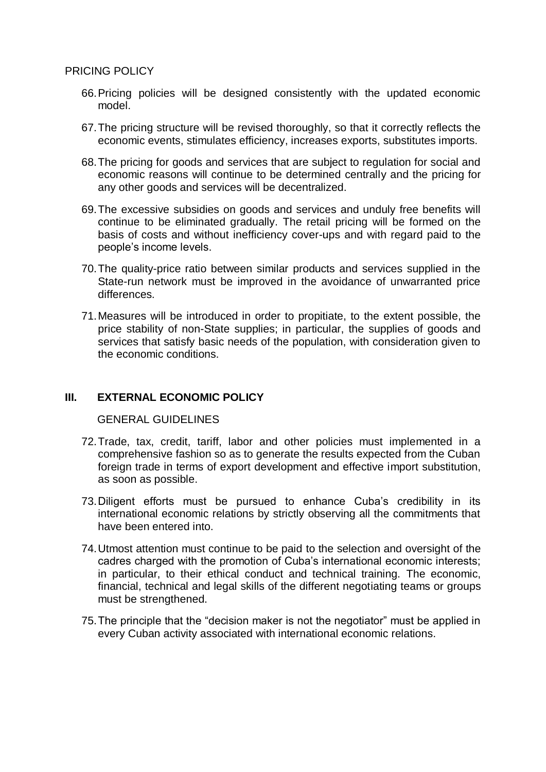- 66.Pricing policies will be designed consistently with the updated economic model.
- 67.The pricing structure will be revised thoroughly, so that it correctly reflects the economic events, stimulates efficiency, increases exports, substitutes imports.
- 68.The pricing for goods and services that are subject to regulation for social and economic reasons will continue to be determined centrally and the pricing for any other goods and services will be decentralized.
- 69.The excessive subsidies on goods and services and unduly free benefits will continue to be eliminated gradually. The retail pricing will be formed on the basis of costs and without inefficiency cover-ups and with regard paid to the people's income levels.
- 70.The quality-price ratio between similar products and services supplied in the State-run network must be improved in the avoidance of unwarranted price differences.
- 71.Measures will be introduced in order to propitiate, to the extent possible, the price stability of non-State supplies; in particular, the supplies of goods and services that satisfy basic needs of the population, with consideration given to the economic conditions.

# **III. EXTERNAL ECONOMIC POLICY**

GENERAL GUIDELINES

- 72.Trade, tax, credit, tariff, labor and other policies must implemented in a comprehensive fashion so as to generate the results expected from the Cuban foreign trade in terms of export development and effective import substitution, as soon as possible.
- 73.Diligent efforts must be pursued to enhance Cuba's credibility in its international economic relations by strictly observing all the commitments that have been entered into.
- 74.Utmost attention must continue to be paid to the selection and oversight of the cadres charged with the promotion of Cuba's international economic interests; in particular, to their ethical conduct and technical training. The economic, financial, technical and legal skills of the different negotiating teams or groups must be strengthened.
- 75.The principle that the "decision maker is not the negotiator" must be applied in every Cuban activity associated with international economic relations.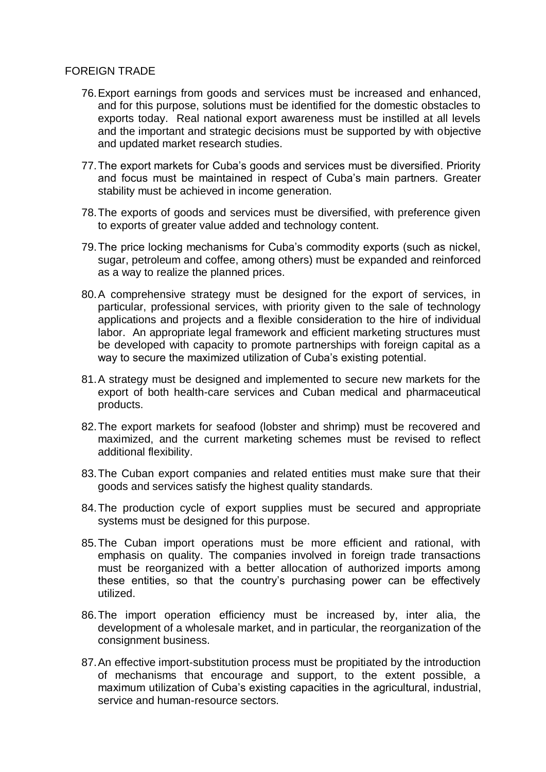# FOREIGN TRADE

- 76.Export earnings from goods and services must be increased and enhanced, and for this purpose, solutions must be identified for the domestic obstacles to exports today. Real national export awareness must be instilled at all levels and the important and strategic decisions must be supported by with objective and updated market research studies.
- 77.The export markets for Cuba's goods and services must be diversified. Priority and focus must be maintained in respect of Cuba's main partners. Greater stability must be achieved in income generation.
- 78.The exports of goods and services must be diversified, with preference given to exports of greater value added and technology content.
- 79.The price locking mechanisms for Cuba's commodity exports (such as nickel, sugar, petroleum and coffee, among others) must be expanded and reinforced as a way to realize the planned prices.
- 80.A comprehensive strategy must be designed for the export of services, in particular, professional services, with priority given to the sale of technology applications and projects and a flexible consideration to the hire of individual labor. An appropriate legal framework and efficient marketing structures must be developed with capacity to promote partnerships with foreign capital as a way to secure the maximized utilization of Cuba's existing potential.
- 81.A strategy must be designed and implemented to secure new markets for the export of both health-care services and Cuban medical and pharmaceutical products.
- 82.The export markets for seafood (lobster and shrimp) must be recovered and maximized, and the current marketing schemes must be revised to reflect additional flexibility.
- 83.The Cuban export companies and related entities must make sure that their goods and services satisfy the highest quality standards.
- 84.The production cycle of export supplies must be secured and appropriate systems must be designed for this purpose.
- 85.The Cuban import operations must be more efficient and rational, with emphasis on quality. The companies involved in foreign trade transactions must be reorganized with a better allocation of authorized imports among these entities, so that the country's purchasing power can be effectively utilized.
- 86.The import operation efficiency must be increased by, inter alia, the development of a wholesale market, and in particular, the reorganization of the consignment business.
- 87.An effective import-substitution process must be propitiated by the introduction of mechanisms that encourage and support, to the extent possible, a maximum utilization of Cuba's existing capacities in the agricultural, industrial, service and human-resource sectors.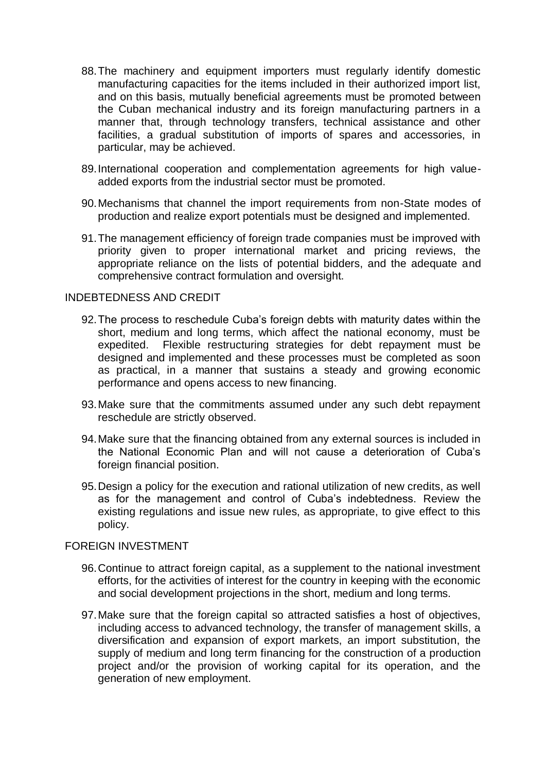- 88.The machinery and equipment importers must regularly identify domestic manufacturing capacities for the items included in their authorized import list, and on this basis, mutually beneficial agreements must be promoted between the Cuban mechanical industry and its foreign manufacturing partners in a manner that, through technology transfers, technical assistance and other facilities, a gradual substitution of imports of spares and accessories, in particular, may be achieved.
- 89.International cooperation and complementation agreements for high valueadded exports from the industrial sector must be promoted.
- 90.Mechanisms that channel the import requirements from non-State modes of production and realize export potentials must be designed and implemented.
- 91.The management efficiency of foreign trade companies must be improved with priority given to proper international market and pricing reviews, the appropriate reliance on the lists of potential bidders, and the adequate and comprehensive contract formulation and oversight.

#### INDEBTEDNESS AND CREDIT

- 92.The process to reschedule Cuba's foreign debts with maturity dates within the short, medium and long terms, which affect the national economy, must be expedited. Flexible restructuring strategies for debt repayment must be designed and implemented and these processes must be completed as soon as practical, in a manner that sustains a steady and growing economic performance and opens access to new financing.
- 93.Make sure that the commitments assumed under any such debt repayment reschedule are strictly observed.
- 94.Make sure that the financing obtained from any external sources is included in the National Economic Plan and will not cause a deterioration of Cuba's foreign financial position.
- 95.Design a policy for the execution and rational utilization of new credits, as well as for the management and control of Cuba's indebtedness. Review the existing regulations and issue new rules, as appropriate, to give effect to this policy.

#### FOREIGN INVESTMENT

- 96.Continue to attract foreign capital, as a supplement to the national investment efforts, for the activities of interest for the country in keeping with the economic and social development projections in the short, medium and long terms.
- 97.Make sure that the foreign capital so attracted satisfies a host of objectives, including access to advanced technology, the transfer of management skills, a diversification and expansion of export markets, an import substitution, the supply of medium and long term financing for the construction of a production project and/or the provision of working capital for its operation, and the generation of new employment.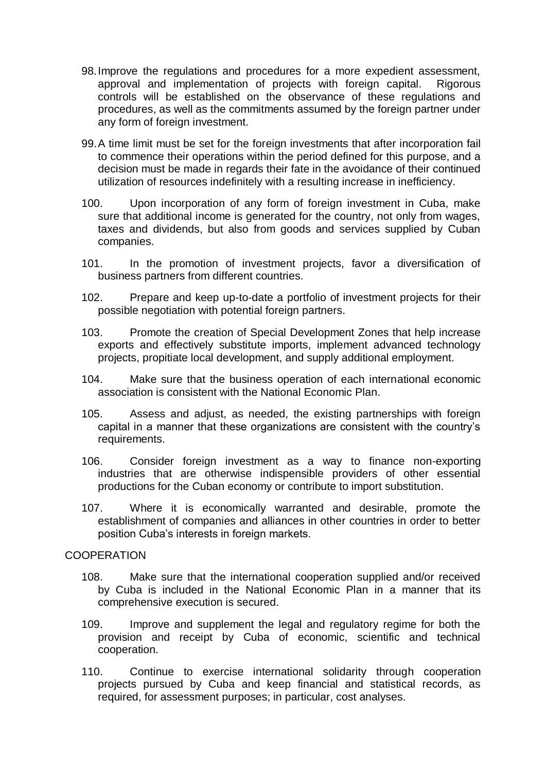- 98.Improve the regulations and procedures for a more expedient assessment, approval and implementation of projects with foreign capital. Rigorous controls will be established on the observance of these regulations and procedures, as well as the commitments assumed by the foreign partner under any form of foreign investment.
- 99.A time limit must be set for the foreign investments that after incorporation fail to commence their operations within the period defined for this purpose, and a decision must be made in regards their fate in the avoidance of their continued utilization of resources indefinitely with a resulting increase in inefficiency.
- 100. Upon incorporation of any form of foreign investment in Cuba, make sure that additional income is generated for the country, not only from wages, taxes and dividends, but also from goods and services supplied by Cuban companies.
- 101. In the promotion of investment projects, favor a diversification of business partners from different countries.
- 102. Prepare and keep up-to-date a portfolio of investment projects for their possible negotiation with potential foreign partners.
- 103. Promote the creation of Special Development Zones that help increase exports and effectively substitute imports, implement advanced technology projects, propitiate local development, and supply additional employment.
- 104. Make sure that the business operation of each international economic association is consistent with the National Economic Plan.
- 105. Assess and adjust, as needed, the existing partnerships with foreign capital in a manner that these organizations are consistent with the country's requirements.
- 106. Consider foreign investment as a way to finance non-exporting industries that are otherwise indispensible providers of other essential productions for the Cuban economy or contribute to import substitution.
- 107. Where it is economically warranted and desirable, promote the establishment of companies and alliances in other countries in order to better position Cuba's interests in foreign markets.

#### COOPERATION

- 108. Make sure that the international cooperation supplied and/or received by Cuba is included in the National Economic Plan in a manner that its comprehensive execution is secured.
- 109. Improve and supplement the legal and regulatory regime for both the provision and receipt by Cuba of economic, scientific and technical cooperation.
- 110. Continue to exercise international solidarity through cooperation projects pursued by Cuba and keep financial and statistical records, as required, for assessment purposes; in particular, cost analyses.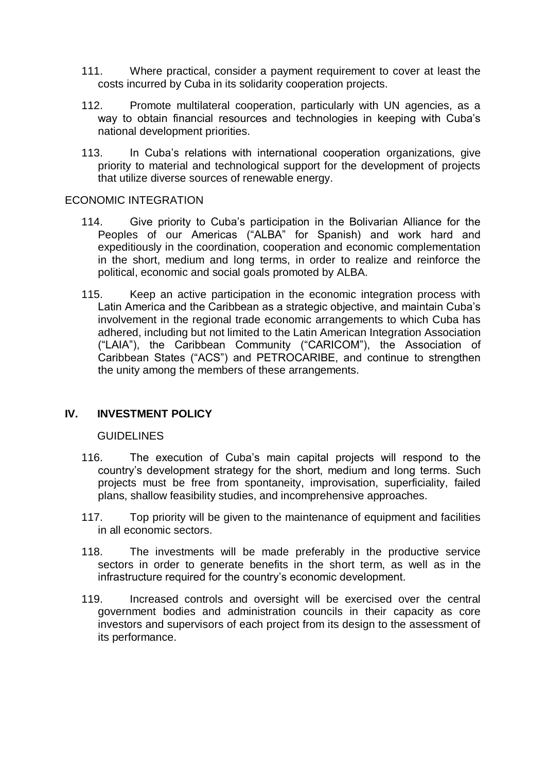- 111. Where practical, consider a payment requirement to cover at least the costs incurred by Cuba in its solidarity cooperation projects.
- 112. Promote multilateral cooperation, particularly with UN agencies, as a way to obtain financial resources and technologies in keeping with Cuba's national development priorities.
- 113. In Cuba's relations with international cooperation organizations, give priority to material and technological support for the development of projects that utilize diverse sources of renewable energy.

# ECONOMIC INTEGRATION

- 114. Give priority to Cuba's participation in the Bolivarian Alliance for the Peoples of our Americas ("ALBA" for Spanish) and work hard and expeditiously in the coordination, cooperation and economic complementation in the short, medium and long terms, in order to realize and reinforce the political, economic and social goals promoted by ALBA.
- 115. Keep an active participation in the economic integration process with Latin America and the Caribbean as a strategic objective, and maintain Cuba's involvement in the regional trade economic arrangements to which Cuba has adhered, including but not limited to the Latin American Integration Association ("LAIA"), the Caribbean Community ("CARICOM"), the Association of Caribbean States ("ACS") and PETROCARIBE, and continue to strengthen the unity among the members of these arrangements.

# **IV. INVESTMENT POLICY**

# **GUIDELINES**

- 116. The execution of Cuba's main capital projects will respond to the country's development strategy for the short, medium and long terms. Such projects must be free from spontaneity, improvisation, superficiality, failed plans, shallow feasibility studies, and incomprehensive approaches.
- 117. Top priority will be given to the maintenance of equipment and facilities in all economic sectors.
- 118. The investments will be made preferably in the productive service sectors in order to generate benefits in the short term, as well as in the infrastructure required for the country's economic development.
- 119. Increased controls and oversight will be exercised over the central government bodies and administration councils in their capacity as core investors and supervisors of each project from its design to the assessment of its performance.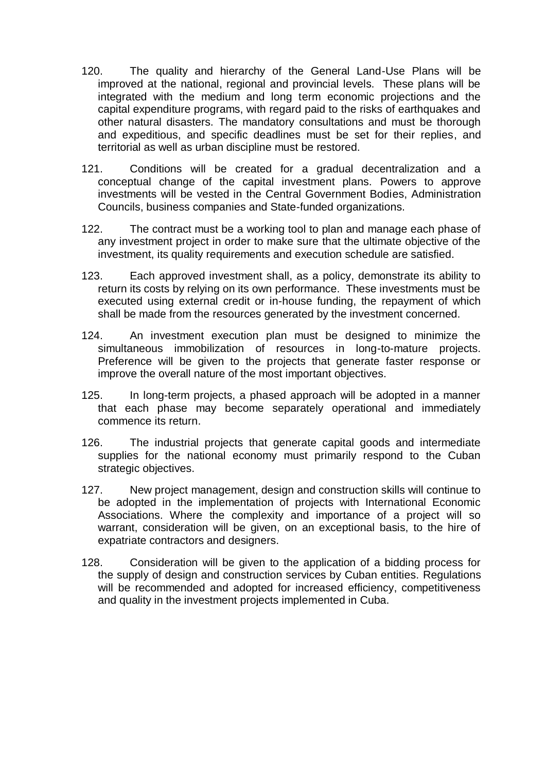- 120. The quality and hierarchy of the General Land-Use Plans will be improved at the national, regional and provincial levels. These plans will be integrated with the medium and long term economic projections and the capital expenditure programs, with regard paid to the risks of earthquakes and other natural disasters. The mandatory consultations and must be thorough and expeditious, and specific deadlines must be set for their replies, and territorial as well as urban discipline must be restored.
- 121. Conditions will be created for a gradual decentralization and a conceptual change of the capital investment plans. Powers to approve investments will be vested in the Central Government Bodies, Administration Councils, business companies and State-funded organizations.
- 122. The contract must be a working tool to plan and manage each phase of any investment project in order to make sure that the ultimate objective of the investment, its quality requirements and execution schedule are satisfied.
- 123. Each approved investment shall, as a policy, demonstrate its ability to return its costs by relying on its own performance. These investments must be executed using external credit or in-house funding, the repayment of which shall be made from the resources generated by the investment concerned.
- 124. An investment execution plan must be designed to minimize the simultaneous immobilization of resources in long-to-mature projects. Preference will be given to the projects that generate faster response or improve the overall nature of the most important objectives.
- 125. In long-term projects, a phased approach will be adopted in a manner that each phase may become separately operational and immediately commence its return.
- 126. The industrial projects that generate capital goods and intermediate supplies for the national economy must primarily respond to the Cuban strategic objectives.
- 127. New project management, design and construction skills will continue to be adopted in the implementation of projects with International Economic Associations. Where the complexity and importance of a project will so warrant, consideration will be given, on an exceptional basis, to the hire of expatriate contractors and designers.
- 128. Consideration will be given to the application of a bidding process for the supply of design and construction services by Cuban entities. Regulations will be recommended and adopted for increased efficiency, competitiveness and quality in the investment projects implemented in Cuba.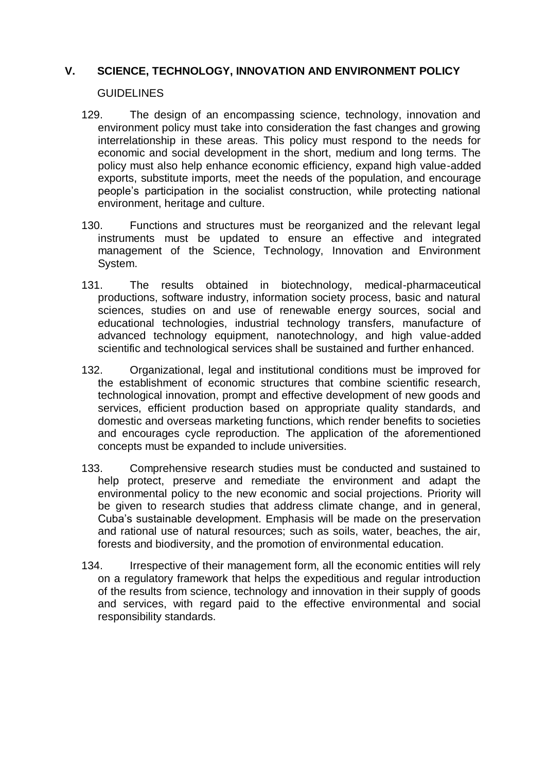# **V. SCIENCE, TECHNOLOGY, INNOVATION AND ENVIRONMENT POLICY**

#### **GUIDELINES**

- 129. The design of an encompassing science, technology, innovation and environment policy must take into consideration the fast changes and growing interrelationship in these areas. This policy must respond to the needs for economic and social development in the short, medium and long terms. The policy must also help enhance economic efficiency, expand high value-added exports, substitute imports, meet the needs of the population, and encourage people's participation in the socialist construction, while protecting national environment, heritage and culture.
- 130. Functions and structures must be reorganized and the relevant legal instruments must be updated to ensure an effective and integrated management of the Science, Technology, Innovation and Environment System.
- 131. The results obtained in biotechnology, medical-pharmaceutical productions, software industry, information society process, basic and natural sciences, studies on and use of renewable energy sources, social and educational technologies, industrial technology transfers, manufacture of advanced technology equipment, nanotechnology, and high value-added scientific and technological services shall be sustained and further enhanced.
- 132. Organizational, legal and institutional conditions must be improved for the establishment of economic structures that combine scientific research, technological innovation, prompt and effective development of new goods and services, efficient production based on appropriate quality standards, and domestic and overseas marketing functions, which render benefits to societies and encourages cycle reproduction. The application of the aforementioned concepts must be expanded to include universities.
- 133. Comprehensive research studies must be conducted and sustained to help protect, preserve and remediate the environment and adapt the environmental policy to the new economic and social projections. Priority will be given to research studies that address climate change, and in general, Cuba's sustainable development. Emphasis will be made on the preservation and rational use of natural resources; such as soils, water, beaches, the air, forests and biodiversity, and the promotion of environmental education.
- 134. Irrespective of their management form, all the economic entities will rely on a regulatory framework that helps the expeditious and regular introduction of the results from science, technology and innovation in their supply of goods and services, with regard paid to the effective environmental and social responsibility standards.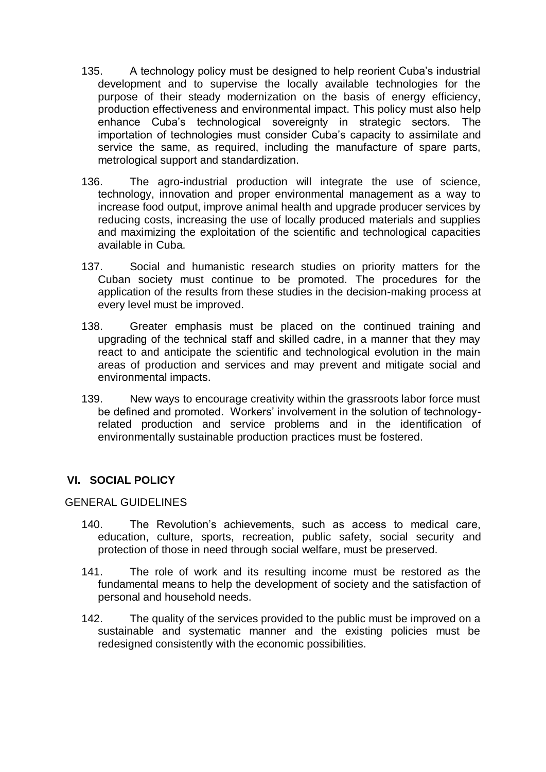- 135. A technology policy must be designed to help reorient Cuba's industrial development and to supervise the locally available technologies for the purpose of their steady modernization on the basis of energy efficiency, production effectiveness and environmental impact. This policy must also help enhance Cuba's technological sovereignty in strategic sectors. The importation of technologies must consider Cuba's capacity to assimilate and service the same, as required, including the manufacture of spare parts, metrological support and standardization.
- 136. The agro-industrial production will integrate the use of science, technology, innovation and proper environmental management as a way to increase food output, improve animal health and upgrade producer services by reducing costs, increasing the use of locally produced materials and supplies and maximizing the exploitation of the scientific and technological capacities available in Cuba.
- 137. Social and humanistic research studies on priority matters for the Cuban society must continue to be promoted. The procedures for the application of the results from these studies in the decision-making process at every level must be improved.
- 138. Greater emphasis must be placed on the continued training and upgrading of the technical staff and skilled cadre, in a manner that they may react to and anticipate the scientific and technological evolution in the main areas of production and services and may prevent and mitigate social and environmental impacts.
- 139. New ways to encourage creativity within the grassroots labor force must be defined and promoted. Workers' involvement in the solution of technologyrelated production and service problems and in the identification of environmentally sustainable production practices must be fostered.

# **VI. SOCIAL POLICY**

# GENERAL GUIDELINES

- 140. The Revolution's achievements, such as access to medical care, education, culture, sports, recreation, public safety, social security and protection of those in need through social welfare, must be preserved.
- 141. The role of work and its resulting income must be restored as the fundamental means to help the development of society and the satisfaction of personal and household needs.
- 142. The quality of the services provided to the public must be improved on a sustainable and systematic manner and the existing policies must be redesigned consistently with the economic possibilities.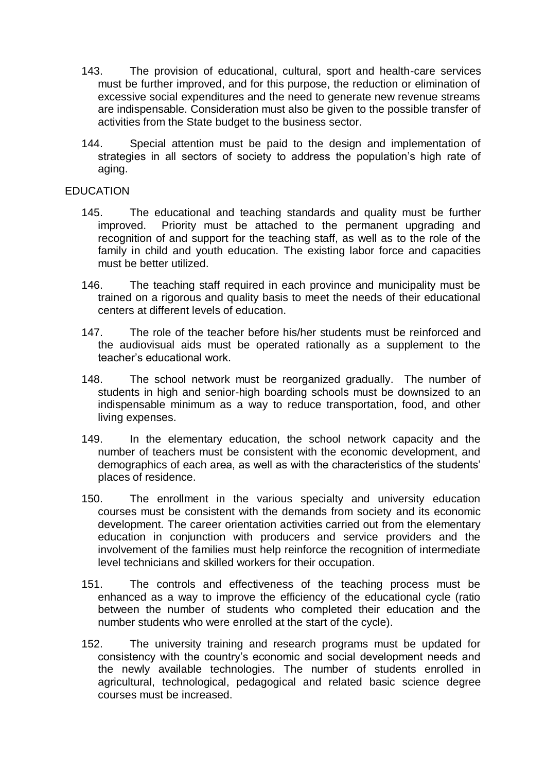- 143. The provision of educational, cultural, sport and health-care services must be further improved, and for this purpose, the reduction or elimination of excessive social expenditures and the need to generate new revenue streams are indispensable. Consideration must also be given to the possible transfer of activities from the State budget to the business sector.
- 144. Special attention must be paid to the design and implementation of strategies in all sectors of society to address the population's high rate of aging.

# EDUCATION

- 145. The educational and teaching standards and quality must be further improved. Priority must be attached to the permanent upgrading and recognition of and support for the teaching staff, as well as to the role of the family in child and youth education. The existing labor force and capacities must be better utilized.
- 146. The teaching staff required in each province and municipality must be trained on a rigorous and quality basis to meet the needs of their educational centers at different levels of education.
- 147. The role of the teacher before his/her students must be reinforced and the audiovisual aids must be operated rationally as a supplement to the teacher's educational work.
- 148. The school network must be reorganized gradually. The number of students in high and senior-high boarding schools must be downsized to an indispensable minimum as a way to reduce transportation, food, and other living expenses.
- 149. In the elementary education, the school network capacity and the number of teachers must be consistent with the economic development, and demographics of each area, as well as with the characteristics of the students' places of residence.
- 150. The enrollment in the various specialty and university education courses must be consistent with the demands from society and its economic development. The career orientation activities carried out from the elementary education in conjunction with producers and service providers and the involvement of the families must help reinforce the recognition of intermediate level technicians and skilled workers for their occupation.
- 151. The controls and effectiveness of the teaching process must be enhanced as a way to improve the efficiency of the educational cycle (ratio between the number of students who completed their education and the number students who were enrolled at the start of the cycle).
- 152. The university training and research programs must be updated for consistency with the country's economic and social development needs and the newly available technologies. The number of students enrolled in agricultural, technological, pedagogical and related basic science degree courses must be increased.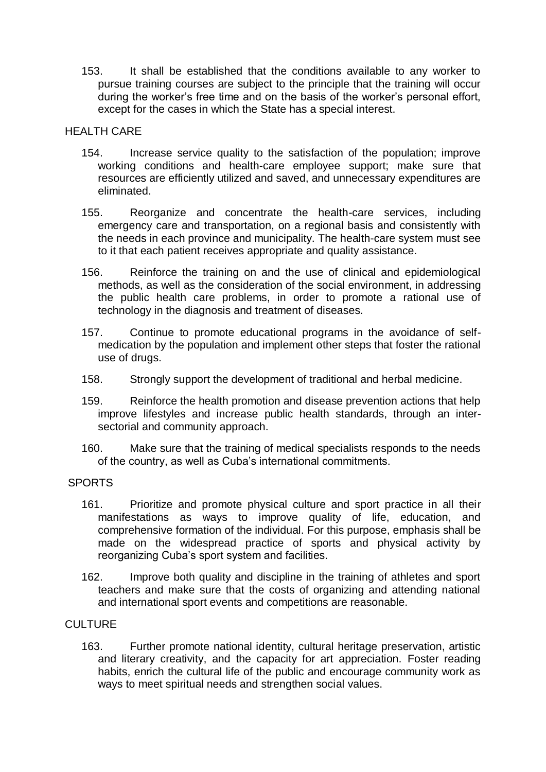153. It shall be established that the conditions available to any worker to pursue training courses are subject to the principle that the training will occur during the worker's free time and on the basis of the worker's personal effort, except for the cases in which the State has a special interest.

# **HEALTH CARE**

- 154. Increase service quality to the satisfaction of the population; improve working conditions and health-care employee support; make sure that resources are efficiently utilized and saved, and unnecessary expenditures are eliminated.
- 155. Reorganize and concentrate the health-care services, including emergency care and transportation, on a regional basis and consistently with the needs in each province and municipality. The health-care system must see to it that each patient receives appropriate and quality assistance.
- 156. Reinforce the training on and the use of clinical and epidemiological methods, as well as the consideration of the social environment, in addressing the public health care problems, in order to promote a rational use of technology in the diagnosis and treatment of diseases.
- 157. Continue to promote educational programs in the avoidance of selfmedication by the population and implement other steps that foster the rational use of drugs.
- 158. Strongly support the development of traditional and herbal medicine.
- 159. Reinforce the health promotion and disease prevention actions that help improve lifestyles and increase public health standards, through an intersectorial and community approach.
- 160. Make sure that the training of medical specialists responds to the needs of the country, as well as Cuba's international commitments.

#### SPORTS

- 161. Prioritize and promote physical culture and sport practice in all their manifestations as ways to improve quality of life, education, and comprehensive formation of the individual. For this purpose, emphasis shall be made on the widespread practice of sports and physical activity by reorganizing Cuba's sport system and facilities.
- 162. Improve both quality and discipline in the training of athletes and sport teachers and make sure that the costs of organizing and attending national and international sport events and competitions are reasonable.

#### **CULTURE**

163. Further promote national identity, cultural heritage preservation, artistic and literary creativity, and the capacity for art appreciation. Foster reading habits, enrich the cultural life of the public and encourage community work as ways to meet spiritual needs and strengthen social values.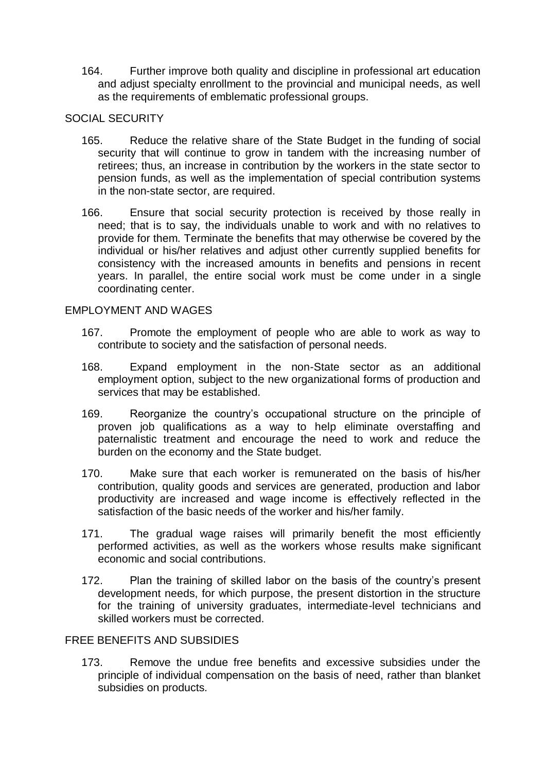164. Further improve both quality and discipline in professional art education and adjust specialty enrollment to the provincial and municipal needs, as well as the requirements of emblematic professional groups.

# SOCIAL SECURITY

- 165. Reduce the relative share of the State Budget in the funding of social security that will continue to grow in tandem with the increasing number of retirees; thus, an increase in contribution by the workers in the state sector to pension funds, as well as the implementation of special contribution systems in the non-state sector, are required.
- 166. Ensure that social security protection is received by those really in need; that is to say, the individuals unable to work and with no relatives to provide for them. Terminate the benefits that may otherwise be covered by the individual or his/her relatives and adjust other currently supplied benefits for consistency with the increased amounts in benefits and pensions in recent years. In parallel, the entire social work must be come under in a single coordinating center.

# EMPLOYMENT AND WAGES

- 167. Promote the employment of people who are able to work as way to contribute to society and the satisfaction of personal needs.
- 168. Expand employment in the non-State sector as an additional employment option, subject to the new organizational forms of production and services that may be established.
- 169. Reorganize the country's occupational structure on the principle of proven job qualifications as a way to help eliminate overstaffing and paternalistic treatment and encourage the need to work and reduce the burden on the economy and the State budget.
- 170. Make sure that each worker is remunerated on the basis of his/her contribution, quality goods and services are generated, production and labor productivity are increased and wage income is effectively reflected in the satisfaction of the basic needs of the worker and his/her family.
- 171. The gradual wage raises will primarily benefit the most efficiently performed activities, as well as the workers whose results make significant economic and social contributions.
- 172. Plan the training of skilled labor on the basis of the country's present development needs, for which purpose, the present distortion in the structure for the training of university graduates, intermediate-level technicians and skilled workers must be corrected.

# FREE BENEFITS AND SUBSIDIES

173. Remove the undue free benefits and excessive subsidies under the principle of individual compensation on the basis of need, rather than blanket subsidies on products.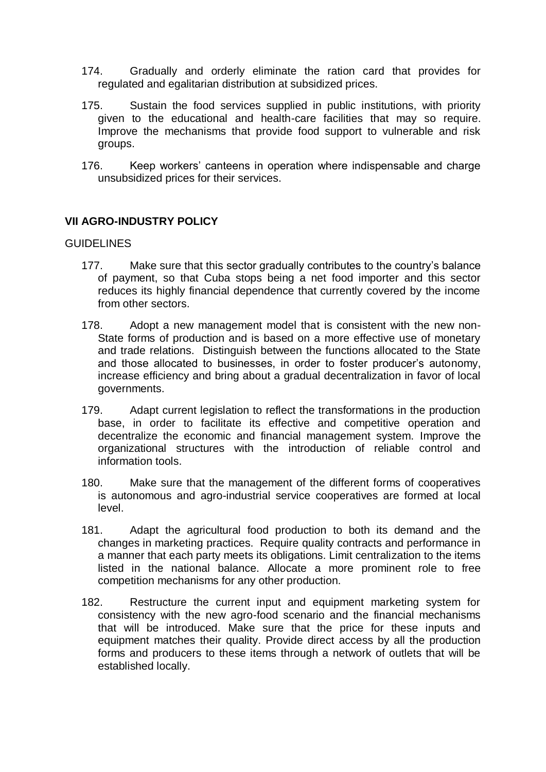- 174. Gradually and orderly eliminate the ration card that provides for regulated and egalitarian distribution at subsidized prices.
- 175. Sustain the food services supplied in public institutions, with priority given to the educational and health-care facilities that may so require. Improve the mechanisms that provide food support to vulnerable and risk groups.
- 176. Keep workers' canteens in operation where indispensable and charge unsubsidized prices for their services.

# **VII AGRO-INDUSTRY POLICY**

#### **GUIDELINES**

- 177. Make sure that this sector gradually contributes to the country's balance of payment, so that Cuba stops being a net food importer and this sector reduces its highly financial dependence that currently covered by the income from other sectors.
- 178. Adopt a new management model that is consistent with the new non-State forms of production and is based on a more effective use of monetary and trade relations. Distinguish between the functions allocated to the State and those allocated to businesses, in order to foster producer's autonomy, increase efficiency and bring about a gradual decentralization in favor of local governments.
- 179. Adapt current legislation to reflect the transformations in the production base, in order to facilitate its effective and competitive operation and decentralize the economic and financial management system. Improve the organizational structures with the introduction of reliable control and information tools.
- 180. Make sure that the management of the different forms of cooperatives is autonomous and agro-industrial service cooperatives are formed at local level.
- 181. Adapt the agricultural food production to both its demand and the changes in marketing practices. Require quality contracts and performance in a manner that each party meets its obligations. Limit centralization to the items listed in the national balance. Allocate a more prominent role to free competition mechanisms for any other production.
- 182. Restructure the current input and equipment marketing system for consistency with the new agro-food scenario and the financial mechanisms that will be introduced. Make sure that the price for these inputs and equipment matches their quality. Provide direct access by all the production forms and producers to these items through a network of outlets that will be established locally.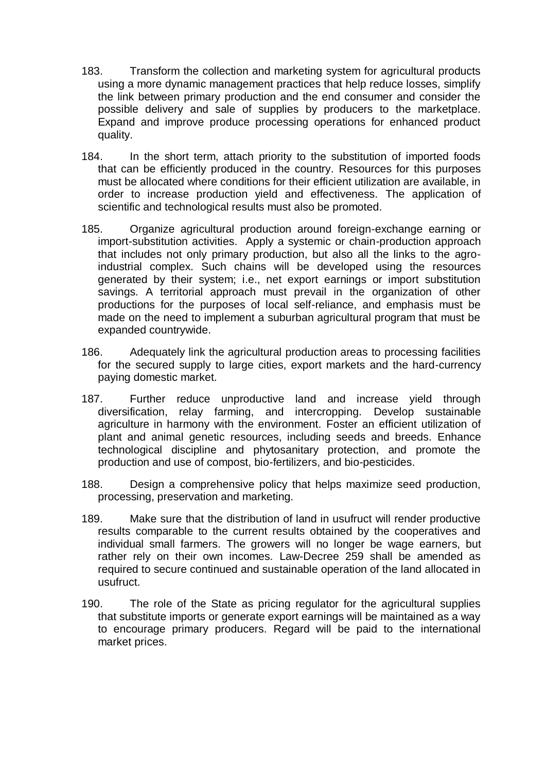- 183. Transform the collection and marketing system for agricultural products using a more dynamic management practices that help reduce losses, simplify the link between primary production and the end consumer and consider the possible delivery and sale of supplies by producers to the marketplace. Expand and improve produce processing operations for enhanced product quality.
- 184. In the short term, attach priority to the substitution of imported foods that can be efficiently produced in the country. Resources for this purposes must be allocated where conditions for their efficient utilization are available, in order to increase production yield and effectiveness. The application of scientific and technological results must also be promoted.
- 185. Organize agricultural production around foreign-exchange earning or import-substitution activities. Apply a systemic or chain-production approach that includes not only primary production, but also all the links to the agroindustrial complex. Such chains will be developed using the resources generated by their system; i.e., net export earnings or import substitution savings. A territorial approach must prevail in the organization of other productions for the purposes of local self-reliance, and emphasis must be made on the need to implement a suburban agricultural program that must be expanded countrywide.
- 186. Adequately link the agricultural production areas to processing facilities for the secured supply to large cities, export markets and the hard-currency paying domestic market.
- 187. Further reduce unproductive land and increase yield through diversification, relay farming, and intercropping. Develop sustainable agriculture in harmony with the environment. Foster an efficient utilization of plant and animal genetic resources, including seeds and breeds. Enhance technological discipline and phytosanitary protection, and promote the production and use of compost, bio-fertilizers, and bio-pesticides.
- 188. Design a comprehensive policy that helps maximize seed production, processing, preservation and marketing.
- 189. Make sure that the distribution of land in usufruct will render productive results comparable to the current results obtained by the cooperatives and individual small farmers. The growers will no longer be wage earners, but rather rely on their own incomes. Law-Decree 259 shall be amended as required to secure continued and sustainable operation of the land allocated in usufruct.
- 190. The role of the State as pricing regulator for the agricultural supplies that substitute imports or generate export earnings will be maintained as a way to encourage primary producers. Regard will be paid to the international market prices.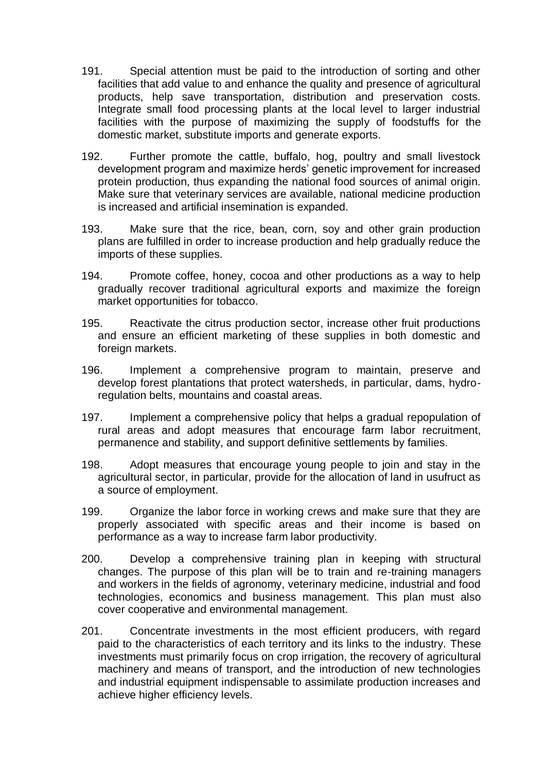- 191. Special attention must be paid to the introduction of sorting and other facilities that add value to and enhance the quality and presence of agricultural products, help save transportation, distribution and preservation costs. Integrate small food processing plants at the local level to larger industrial facilities with the purpose of maximizing the supply of foodstuffs for the domestic market, substitute imports and generate exports.
- 192. Further promote the cattle, buffalo, hog, poultry and small livestock development program and maximize herds' genetic improvement for increased protein production, thus expanding the national food sources of animal origin. Make sure that veterinary services are available, national medicine production is increased and artificial insemination is expanded.
- 193. Make sure that the rice, bean, corn, soy and other grain production plans are fulfilled in order to increase production and help gradually reduce the imports of these supplies.
- 194. Promote coffee, honey, cocoa and other productions as a way to help gradually recover traditional agricultural exports and maximize the foreign market opportunities for tobacco.
- 195. Reactivate the citrus production sector, increase other fruit productions and ensure an efficient marketing of these supplies in both domestic and foreign markets.
- 196. Implement a comprehensive program to maintain, preserve and develop forest plantations that protect watersheds, in particular, dams, hydroregulation belts, mountains and coastal areas.
- 197. Implement a comprehensive policy that helps a gradual repopulation of rural areas and adopt measures that encourage farm labor recruitment, permanence and stability, and support definitive settlements by families.
- 198. Adopt measures that encourage young people to join and stay in the agricultural sector, in particular, provide for the allocation of land in usufruct as a source of employment.
- 199. Organize the labor force in working crews and make sure that they are properly associated with specific areas and their income is based on performance as a way to increase farm labor productivity.
- 200. Develop a comprehensive training plan in keeping with structural changes. The purpose of this plan will be to train and re-training managers and workers in the fields of agronomy, veterinary medicine, industrial and food technologies, economics and business management. This plan must also cover cooperative and environmental management.
- 201. Concentrate investments in the most efficient producers, with regard paid to the characteristics of each territory and its links to the industry. These investments must primarily focus on crop irrigation, the recovery of agricultural machinery and means of transport, and the introduction of new technologies and industrial equipment indispensable to assimilate production increases and achieve higher efficiency levels.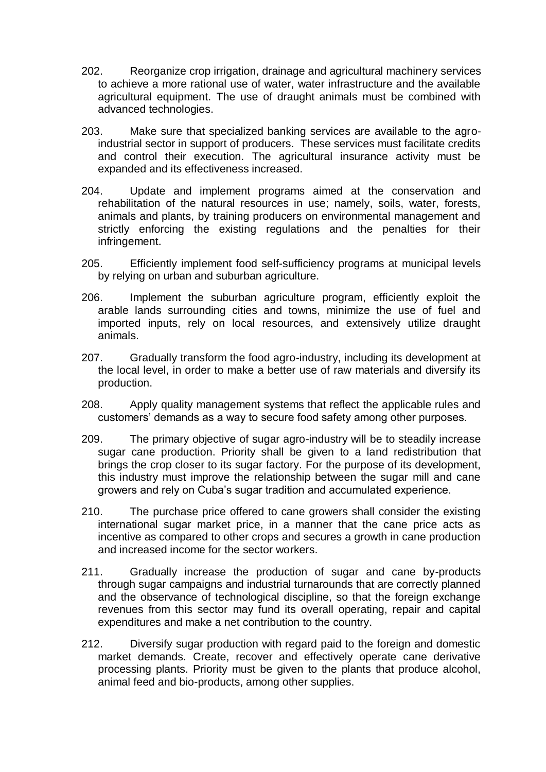- 202. Reorganize crop irrigation, drainage and agricultural machinery services to achieve a more rational use of water, water infrastructure and the available agricultural equipment. The use of draught animals must be combined with advanced technologies.
- 203. Make sure that specialized banking services are available to the agroindustrial sector in support of producers. These services must facilitate credits and control their execution. The agricultural insurance activity must be expanded and its effectiveness increased.
- 204. Update and implement programs aimed at the conservation and rehabilitation of the natural resources in use; namely, soils, water, forests, animals and plants, by training producers on environmental management and strictly enforcing the existing regulations and the penalties for their infringement.
- 205. Efficiently implement food self-sufficiency programs at municipal levels by relying on urban and suburban agriculture.
- 206. Implement the suburban agriculture program, efficiently exploit the arable lands surrounding cities and towns, minimize the use of fuel and imported inputs, rely on local resources, and extensively utilize draught animals.
- 207. Gradually transform the food agro-industry, including its development at the local level, in order to make a better use of raw materials and diversify its production.
- 208. Apply quality management systems that reflect the applicable rules and customers' demands as a way to secure food safety among other purposes.
- 209. The primary objective of sugar agro-industry will be to steadily increase sugar cane production. Priority shall be given to a land redistribution that brings the crop closer to its sugar factory. For the purpose of its development, this industry must improve the relationship between the sugar mill and cane growers and rely on Cuba's sugar tradition and accumulated experience.
- 210. The purchase price offered to cane growers shall consider the existing international sugar market price, in a manner that the cane price acts as incentive as compared to other crops and secures a growth in cane production and increased income for the sector workers.
- 211. Gradually increase the production of sugar and cane by-products through sugar campaigns and industrial turnarounds that are correctly planned and the observance of technological discipline, so that the foreign exchange revenues from this sector may fund its overall operating, repair and capital expenditures and make a net contribution to the country.
- 212. Diversify sugar production with regard paid to the foreign and domestic market demands. Create, recover and effectively operate cane derivative processing plants. Priority must be given to the plants that produce alcohol, animal feed and bio-products, among other supplies.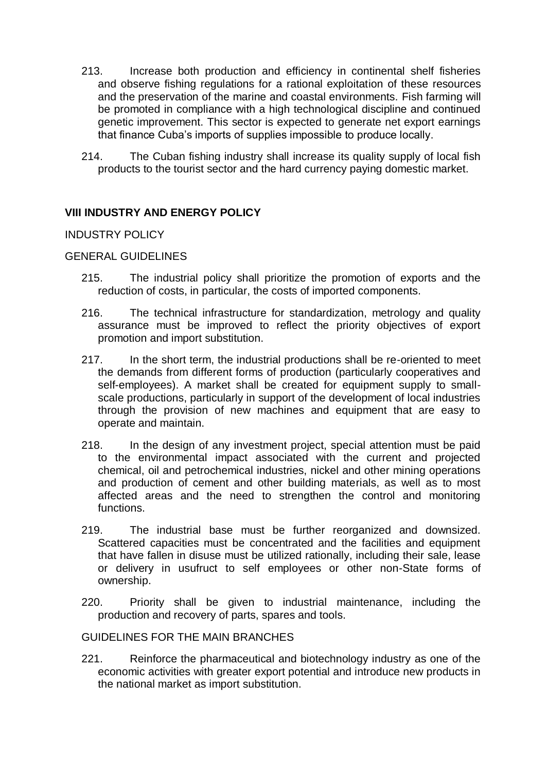- 213. Increase both production and efficiency in continental shelf fisheries and observe fishing regulations for a rational exploitation of these resources and the preservation of the marine and coastal environments. Fish farming will be promoted in compliance with a high technological discipline and continued genetic improvement. This sector is expected to generate net export earnings that finance Cuba's imports of supplies impossible to produce locally.
- 214. The Cuban fishing industry shall increase its quality supply of local fish products to the tourist sector and the hard currency paying domestic market.

# **VIII INDUSTRY AND ENERGY POLICY**

# INDUSTRY POLICY

# GENERAL GUIDELINES

- 215. The industrial policy shall prioritize the promotion of exports and the reduction of costs, in particular, the costs of imported components.
- 216. The technical infrastructure for standardization, metrology and quality assurance must be improved to reflect the priority objectives of export promotion and import substitution.
- 217. In the short term, the industrial productions shall be re-oriented to meet the demands from different forms of production (particularly cooperatives and self-employees). A market shall be created for equipment supply to smallscale productions, particularly in support of the development of local industries through the provision of new machines and equipment that are easy to operate and maintain.
- 218. In the design of any investment project, special attention must be paid to the environmental impact associated with the current and projected chemical, oil and petrochemical industries, nickel and other mining operations and production of cement and other building materials, as well as to most affected areas and the need to strengthen the control and monitoring functions.
- 219. The industrial base must be further reorganized and downsized. Scattered capacities must be concentrated and the facilities and equipment that have fallen in disuse must be utilized rationally, including their sale, lease or delivery in usufruct to self employees or other non-State forms of ownership.
- 220. Priority shall be given to industrial maintenance, including the production and recovery of parts, spares and tools.

#### GUIDELINES FOR THE MAIN BRANCHES

221. Reinforce the pharmaceutical and biotechnology industry as one of the economic activities with greater export potential and introduce new products in the national market as import substitution.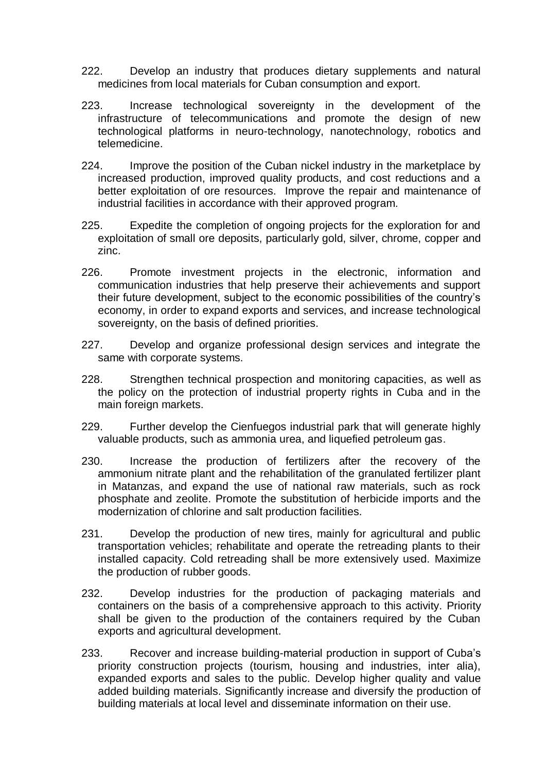- 222. Develop an industry that produces dietary supplements and natural medicines from local materials for Cuban consumption and export.
- 223. Increase technological sovereignty in the development of the infrastructure of telecommunications and promote the design of new technological platforms in neuro-technology, nanotechnology, robotics and telemedicine.
- 224. Improve the position of the Cuban nickel industry in the marketplace by increased production, improved quality products, and cost reductions and a better exploitation of ore resources. Improve the repair and maintenance of industrial facilities in accordance with their approved program.
- 225. Expedite the completion of ongoing projects for the exploration for and exploitation of small ore deposits, particularly gold, silver, chrome, copper and zinc.
- 226. Promote investment projects in the electronic, information and communication industries that help preserve their achievements and support their future development, subject to the economic possibilities of the country's economy, in order to expand exports and services, and increase technological sovereignty, on the basis of defined priorities.
- 227. Develop and organize professional design services and integrate the same with corporate systems.
- 228. Strengthen technical prospection and monitoring capacities, as well as the policy on the protection of industrial property rights in Cuba and in the main foreign markets.
- 229. Further develop the Cienfuegos industrial park that will generate highly valuable products, such as ammonia urea, and liquefied petroleum gas.
- 230. Increase the production of fertilizers after the recovery of the ammonium nitrate plant and the rehabilitation of the granulated fertilizer plant in Matanzas, and expand the use of national raw materials, such as rock phosphate and zeolite. Promote the substitution of herbicide imports and the modernization of chlorine and salt production facilities.
- 231. Develop the production of new tires, mainly for agricultural and public transportation vehicles; rehabilitate and operate the retreading plants to their installed capacity. Cold retreading shall be more extensively used. Maximize the production of rubber goods.
- 232. Develop industries for the production of packaging materials and containers on the basis of a comprehensive approach to this activity. Priority shall be given to the production of the containers required by the Cuban exports and agricultural development.
- 233. Recover and increase building-material production in support of Cuba's priority construction projects (tourism, housing and industries, inter alia), expanded exports and sales to the public. Develop higher quality and value added building materials. Significantly increase and diversify the production of building materials at local level and disseminate information on their use.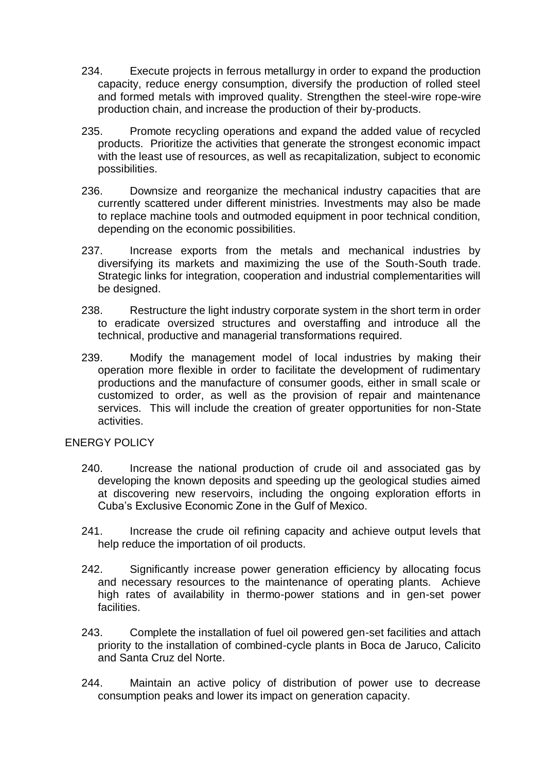- 234. Execute projects in ferrous metallurgy in order to expand the production capacity, reduce energy consumption, diversify the production of rolled steel and formed metals with improved quality. Strengthen the steel-wire rope-wire production chain, and increase the production of their by-products.
- 235. Promote recycling operations and expand the added value of recycled products. Prioritize the activities that generate the strongest economic impact with the least use of resources, as well as recapitalization, subject to economic possibilities.
- 236. Downsize and reorganize the mechanical industry capacities that are currently scattered under different ministries. Investments may also be made to replace machine tools and outmoded equipment in poor technical condition, depending on the economic possibilities.
- 237. Increase exports from the metals and mechanical industries by diversifying its markets and maximizing the use of the South-South trade. Strategic links for integration, cooperation and industrial complementarities will be designed.
- 238. Restructure the light industry corporate system in the short term in order to eradicate oversized structures and overstaffing and introduce all the technical, productive and managerial transformations required.
- 239. Modify the management model of local industries by making their operation more flexible in order to facilitate the development of rudimentary productions and the manufacture of consumer goods, either in small scale or customized to order, as well as the provision of repair and maintenance services. This will include the creation of greater opportunities for non-State activities.

# ENERGY POLICY

- 240. Increase the national production of crude oil and associated gas by developing the known deposits and speeding up the geological studies aimed at discovering new reservoirs, including the ongoing exploration efforts in Cuba's Exclusive Economic Zone in the Gulf of Mexico.
- 241. Increase the crude oil refining capacity and achieve output levels that help reduce the importation of oil products.
- 242. Significantly increase power generation efficiency by allocating focus and necessary resources to the maintenance of operating plants. Achieve high rates of availability in thermo-power stations and in gen-set power facilities.
- 243. Complete the installation of fuel oil powered gen-set facilities and attach priority to the installation of combined-cycle plants in Boca de Jaruco, Calicito and Santa Cruz del Norte.
- 244. Maintain an active policy of distribution of power use to decrease consumption peaks and lower its impact on generation capacity.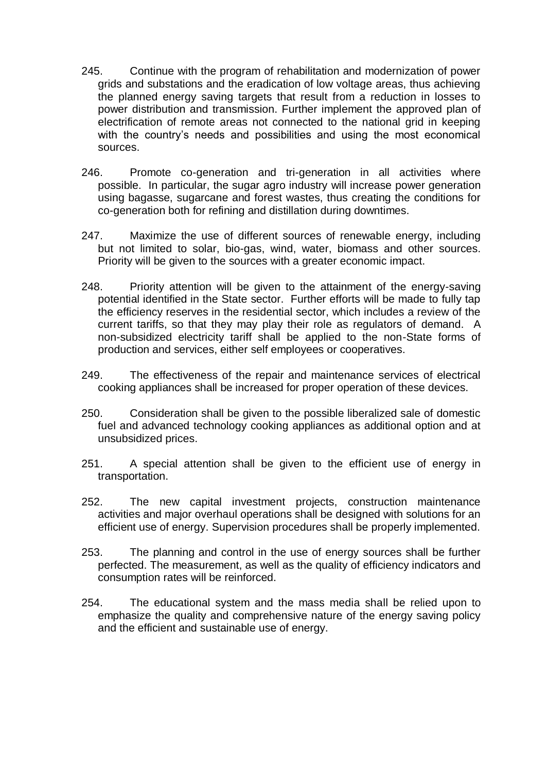- 245. Continue with the program of rehabilitation and modernization of power grids and substations and the eradication of low voltage areas, thus achieving the planned energy saving targets that result from a reduction in losses to power distribution and transmission. Further implement the approved plan of electrification of remote areas not connected to the national grid in keeping with the country's needs and possibilities and using the most economical sources.
- 246. Promote co-generation and tri-generation in all activities where possible. In particular, the sugar agro industry will increase power generation using bagasse, sugarcane and forest wastes, thus creating the conditions for co-generation both for refining and distillation during downtimes.
- 247. Maximize the use of different sources of renewable energy, including but not limited to solar, bio-gas, wind, water, biomass and other sources. Priority will be given to the sources with a greater economic impact.
- 248. Priority attention will be given to the attainment of the energy-saving potential identified in the State sector. Further efforts will be made to fully tap the efficiency reserves in the residential sector, which includes a review of the current tariffs, so that they may play their role as regulators of demand. A non-subsidized electricity tariff shall be applied to the non-State forms of production and services, either self employees or cooperatives.
- 249. The effectiveness of the repair and maintenance services of electrical cooking appliances shall be increased for proper operation of these devices.
- 250. Consideration shall be given to the possible liberalized sale of domestic fuel and advanced technology cooking appliances as additional option and at unsubsidized prices.
- 251. A special attention shall be given to the efficient use of energy in transportation.
- 252. The new capital investment projects, construction maintenance activities and major overhaul operations shall be designed with solutions for an efficient use of energy. Supervision procedures shall be properly implemented.
- 253. The planning and control in the use of energy sources shall be further perfected. The measurement, as well as the quality of efficiency indicators and consumption rates will be reinforced.
- 254. The educational system and the mass media shall be relied upon to emphasize the quality and comprehensive nature of the energy saving policy and the efficient and sustainable use of energy.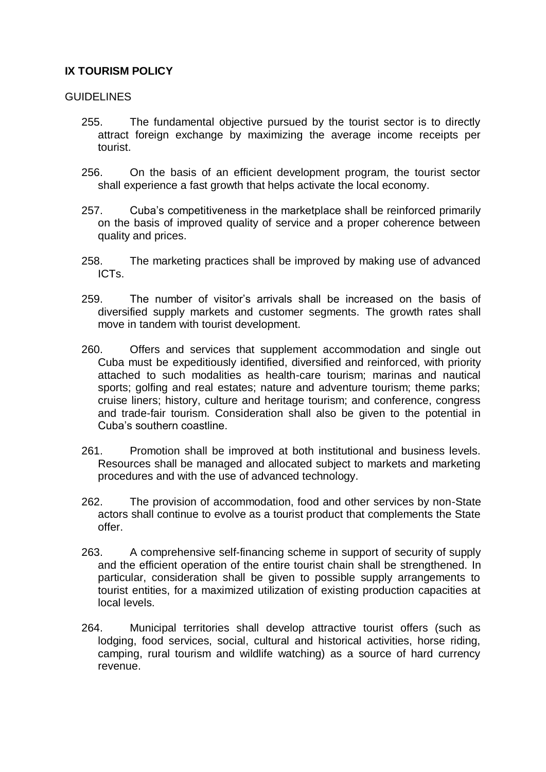# **IX TOURISM POLICY**

# GUIDELINES

- 255. The fundamental objective pursued by the tourist sector is to directly attract foreign exchange by maximizing the average income receipts per tourist.
- 256. On the basis of an efficient development program, the tourist sector shall experience a fast growth that helps activate the local economy.
- 257. Cuba's competitiveness in the marketplace shall be reinforced primarily on the basis of improved quality of service and a proper coherence between quality and prices.
- 258. The marketing practices shall be improved by making use of advanced ICTs.
- 259. The number of visitor's arrivals shall be increased on the basis of diversified supply markets and customer segments. The growth rates shall move in tandem with tourist development.
- 260. Offers and services that supplement accommodation and single out Cuba must be expeditiously identified, diversified and reinforced, with priority attached to such modalities as health-care tourism; marinas and nautical sports; golfing and real estates; nature and adventure tourism; theme parks; cruise liners; history, culture and heritage tourism; and conference, congress and trade-fair tourism. Consideration shall also be given to the potential in Cuba's southern coastline.
- 261. Promotion shall be improved at both institutional and business levels. Resources shall be managed and allocated subject to markets and marketing procedures and with the use of advanced technology.
- 262. The provision of accommodation, food and other services by non-State actors shall continue to evolve as a tourist product that complements the State offer.
- 263. A comprehensive self-financing scheme in support of security of supply and the efficient operation of the entire tourist chain shall be strengthened. In particular, consideration shall be given to possible supply arrangements to tourist entities, for a maximized utilization of existing production capacities at local levels.
- 264. Municipal territories shall develop attractive tourist offers (such as lodging, food services, social, cultural and historical activities, horse riding, camping, rural tourism and wildlife watching) as a source of hard currency revenue.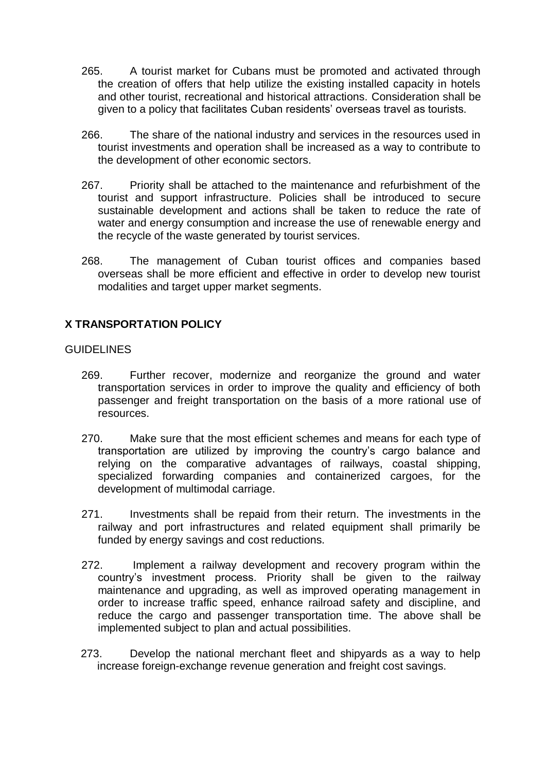- 265. A tourist market for Cubans must be promoted and activated through the creation of offers that help utilize the existing installed capacity in hotels and other tourist, recreational and historical attractions. Consideration shall be given to a policy that facilitates Cuban residents' overseas travel as tourists.
- 266. The share of the national industry and services in the resources used in tourist investments and operation shall be increased as a way to contribute to the development of other economic sectors.
- 267. Priority shall be attached to the maintenance and refurbishment of the tourist and support infrastructure. Policies shall be introduced to secure sustainable development and actions shall be taken to reduce the rate of water and energy consumption and increase the use of renewable energy and the recycle of the waste generated by tourist services.
- 268. The management of Cuban tourist offices and companies based overseas shall be more efficient and effective in order to develop new tourist modalities and target upper market segments.

# **X TRANSPORTATION POLICY**

# GUIDELINES

- 269. Further recover, modernize and reorganize the ground and water transportation services in order to improve the quality and efficiency of both passenger and freight transportation on the basis of a more rational use of resources.
- 270. Make sure that the most efficient schemes and means for each type of transportation are utilized by improving the country's cargo balance and relying on the comparative advantages of railways, coastal shipping, specialized forwarding companies and containerized cargoes, for the development of multimodal carriage.
- 271. Investments shall be repaid from their return. The investments in the railway and port infrastructures and related equipment shall primarily be funded by energy savings and cost reductions.
- 272. Implement a railway development and recovery program within the country's investment process. Priority shall be given to the railway maintenance and upgrading, as well as improved operating management in order to increase traffic speed, enhance railroad safety and discipline, and reduce the cargo and passenger transportation time. The above shall be implemented subject to plan and actual possibilities.
- 273. Develop the national merchant fleet and shipyards as a way to help increase foreign-exchange revenue generation and freight cost savings.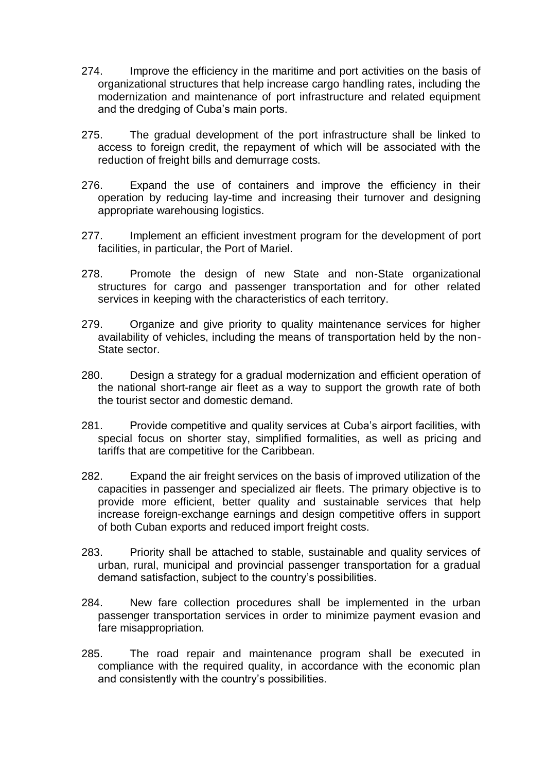- 274. Improve the efficiency in the maritime and port activities on the basis of organizational structures that help increase cargo handling rates, including the modernization and maintenance of port infrastructure and related equipment and the dredging of Cuba's main ports.
- 275. The gradual development of the port infrastructure shall be linked to access to foreign credit, the repayment of which will be associated with the reduction of freight bills and demurrage costs.
- 276. Expand the use of containers and improve the efficiency in their operation by reducing lay-time and increasing their turnover and designing appropriate warehousing logistics.
- 277. Implement an efficient investment program for the development of port facilities, in particular, the Port of Mariel.
- 278. Promote the design of new State and non-State organizational structures for cargo and passenger transportation and for other related services in keeping with the characteristics of each territory.
- 279. Organize and give priority to quality maintenance services for higher availability of vehicles, including the means of transportation held by the non-State sector.
- 280. Design a strategy for a gradual modernization and efficient operation of the national short-range air fleet as a way to support the growth rate of both the tourist sector and domestic demand.
- 281. Provide competitive and quality services at Cuba's airport facilities, with special focus on shorter stay, simplified formalities, as well as pricing and tariffs that are competitive for the Caribbean.
- 282. Expand the air freight services on the basis of improved utilization of the capacities in passenger and specialized air fleets. The primary objective is to provide more efficient, better quality and sustainable services that help increase foreign-exchange earnings and design competitive offers in support of both Cuban exports and reduced import freight costs.
- 283. Priority shall be attached to stable, sustainable and quality services of urban, rural, municipal and provincial passenger transportation for a gradual demand satisfaction, subject to the country's possibilities.
- 284. New fare collection procedures shall be implemented in the urban passenger transportation services in order to minimize payment evasion and fare misappropriation.
- 285. The road repair and maintenance program shall be executed in compliance with the required quality, in accordance with the economic plan and consistently with the country's possibilities.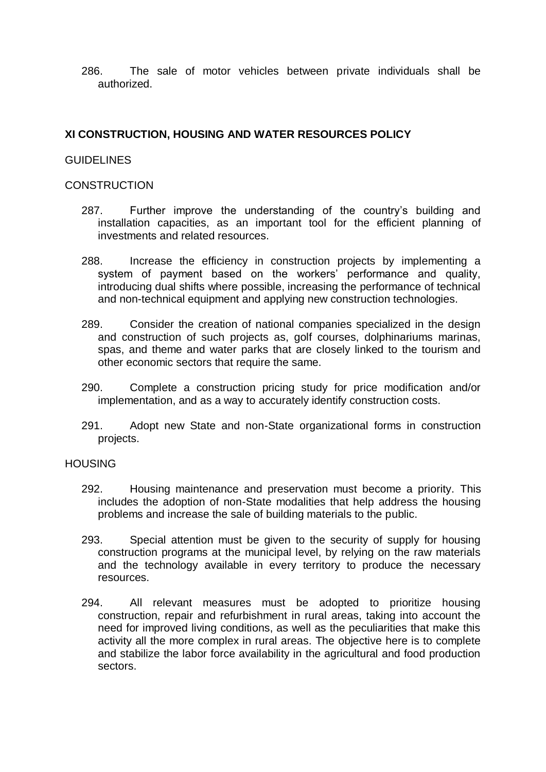286. The sale of motor vehicles between private individuals shall be authorized.

# **XI CONSTRUCTION, HOUSING AND WATER RESOURCES POLICY**

#### GUIDELINES

#### **CONSTRUCTION**

- 287. Further improve the understanding of the country's building and installation capacities, as an important tool for the efficient planning of investments and related resources.
- 288. Increase the efficiency in construction projects by implementing a system of payment based on the workers' performance and quality, introducing dual shifts where possible, increasing the performance of technical and non-technical equipment and applying new construction technologies.
- 289. Consider the creation of national companies specialized in the design and construction of such projects as, golf courses, dolphinariums marinas, spas, and theme and water parks that are closely linked to the tourism and other economic sectors that require the same.
- 290. Complete a construction pricing study for price modification and/or implementation, and as a way to accurately identify construction costs.
- 291. Adopt new State and non-State organizational forms in construction projects.

#### **HOUSING**

- 292. Housing maintenance and preservation must become a priority. This includes the adoption of non-State modalities that help address the housing problems and increase the sale of building materials to the public.
- 293. Special attention must be given to the security of supply for housing construction programs at the municipal level, by relying on the raw materials and the technology available in every territory to produce the necessary resources.
- 294. All relevant measures must be adopted to prioritize housing construction, repair and refurbishment in rural areas, taking into account the need for improved living conditions, as well as the peculiarities that make this activity all the more complex in rural areas. The objective here is to complete and stabilize the labor force availability in the agricultural and food production sectors.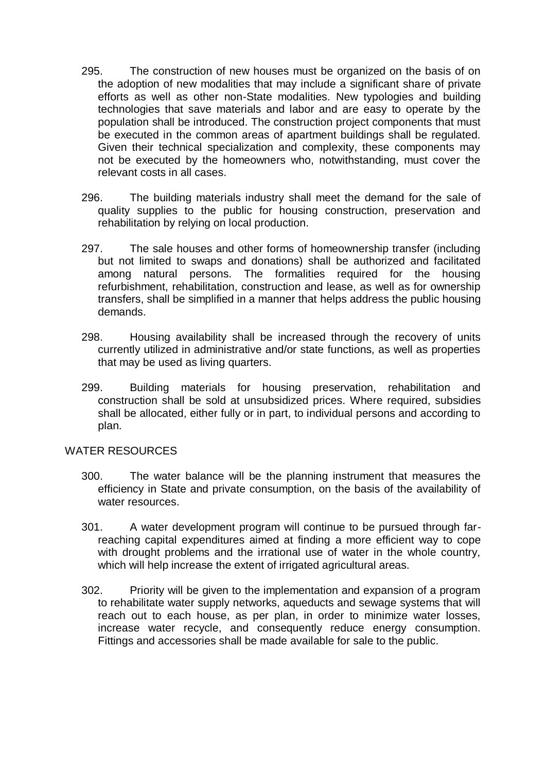- 295. The construction of new houses must be organized on the basis of on the adoption of new modalities that may include a significant share of private efforts as well as other non-State modalities. New typologies and building technologies that save materials and labor and are easy to operate by the population shall be introduced. The construction project components that must be executed in the common areas of apartment buildings shall be regulated. Given their technical specialization and complexity, these components may not be executed by the homeowners who, notwithstanding, must cover the relevant costs in all cases.
- 296. The building materials industry shall meet the demand for the sale of quality supplies to the public for housing construction, preservation and rehabilitation by relying on local production.
- 297. The sale houses and other forms of homeownership transfer (including but not limited to swaps and donations) shall be authorized and facilitated among natural persons. The formalities required for the housing refurbishment, rehabilitation, construction and lease, as well as for ownership transfers, shall be simplified in a manner that helps address the public housing demands.
- 298. Housing availability shall be increased through the recovery of units currently utilized in administrative and/or state functions, as well as properties that may be used as living quarters.
- 299. Building materials for housing preservation, rehabilitation and construction shall be sold at unsubsidized prices. Where required, subsidies shall be allocated, either fully or in part, to individual persons and according to plan.

#### WATER RESOURCES

- 300. The water balance will be the planning instrument that measures the efficiency in State and private consumption, on the basis of the availability of water resources.
- 301. A water development program will continue to be pursued through farreaching capital expenditures aimed at finding a more efficient way to cope with drought problems and the irrational use of water in the whole country, which will help increase the extent of irrigated agricultural areas.
- 302. Priority will be given to the implementation and expansion of a program to rehabilitate water supply networks, aqueducts and sewage systems that will reach out to each house, as per plan, in order to minimize water losses, increase water recycle, and consequently reduce energy consumption. Fittings and accessories shall be made available for sale to the public.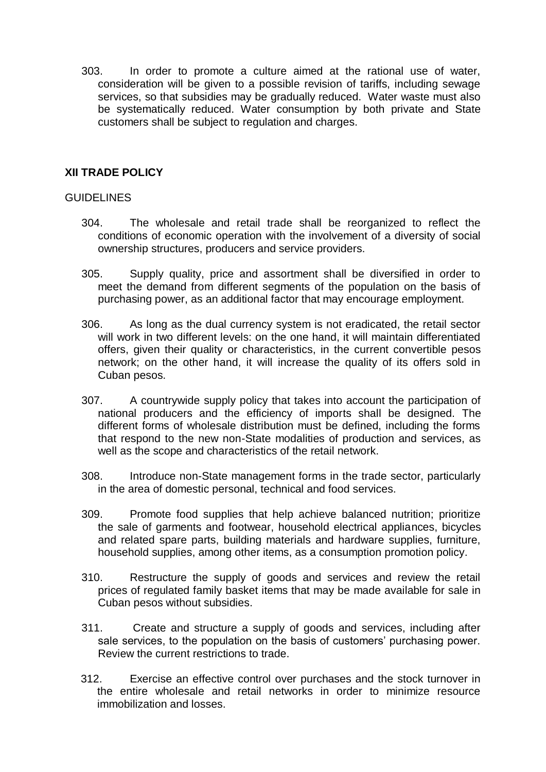303. In order to promote a culture aimed at the rational use of water, consideration will be given to a possible revision of tariffs, including sewage services, so that subsidies may be gradually reduced. Water waste must also be systematically reduced. Water consumption by both private and State customers shall be subject to regulation and charges.

# **XII TRADE POLICY**

# GUIDELINES

- 304. The wholesale and retail trade shall be reorganized to reflect the conditions of economic operation with the involvement of a diversity of social ownership structures, producers and service providers.
- 305. Supply quality, price and assortment shall be diversified in order to meet the demand from different segments of the population on the basis of purchasing power, as an additional factor that may encourage employment.
- 306. As long as the dual currency system is not eradicated, the retail sector will work in two different levels: on the one hand, it will maintain differentiated offers, given their quality or characteristics, in the current convertible pesos network; on the other hand, it will increase the quality of its offers sold in Cuban pesos.
- 307. A countrywide supply policy that takes into account the participation of national producers and the efficiency of imports shall be designed. The different forms of wholesale distribution must be defined, including the forms that respond to the new non-State modalities of production and services, as well as the scope and characteristics of the retail network.
- 308. Introduce non-State management forms in the trade sector, particularly in the area of domestic personal, technical and food services.
- 309. Promote food supplies that help achieve balanced nutrition; prioritize the sale of garments and footwear, household electrical appliances, bicycles and related spare parts, building materials and hardware supplies, furniture, household supplies, among other items, as a consumption promotion policy.
- 310. Restructure the supply of goods and services and review the retail prices of regulated family basket items that may be made available for sale in Cuban pesos without subsidies.
- 311. Create and structure a supply of goods and services, including after sale services, to the population on the basis of customers' purchasing power. Review the current restrictions to trade.
- 312. Exercise an effective control over purchases and the stock turnover in the entire wholesale and retail networks in order to minimize resource immobilization and losses.